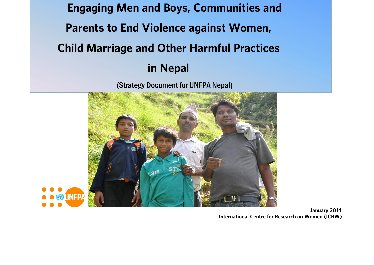**Engaging Men and Boys, Communities and Parents to End Violence against Women, Child Marriage and Other Harmful Practices** 

**in Nepal** (Strategy Document for UNFPA Nepal)





**1014 International Centre for Research on Women (ICRW) International Centre for Research on Women (ICRW)**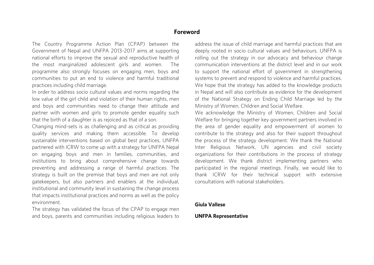#### Foreword

The Country Programme Action Plan (CPAP) between the Government of Nepal and UNFPA 2013-2017 aims at supporting national efforts to improve the sexual and reproductive health of the most marginalized adolescent girls and women. The programme also strongly focuses on engaging men, boys and communities to put an end to violence and harmful traditional practices including child marriage.

In order to address socio cultural values and norms regarding the Iow value of the girl child and violation of their human rights, men and boys and communities need to change their attitude and partner with women and girls to promote gender equality such that the birth of a daughter is as rejoiced as that of a son.

Changing mind-sets is as challenging and as critical as providing quality services and making them accessible. To develop sustainable interventions based on global best practices, UNFPA partnered with ICRW to come up with a strategy for UNFPA Nepal on engaging boys and men in families, communities, and institutions to bring about comprehensive change towards preventing and addressing a range of harmful practices. The strategy is built on the premise that boys and men are not only gatekeepers, but also partners and enablers at the individual, institutional and community level in sustaining the change process that impacts institutional practices and norms as well as the policy  $\frac{1}{2}$ environment.<br>The strategy has validated the focus of the CPAP to engage men

and boys, parents and communities including religious leaders to and boys, parents and communities including religious leaders to address the issue of child marriage and harmful practices that are deeply rooted in socio cultural values and behaviours. UNFPA is rolling out the strategy in our advocacy and behaviour change communication interventions at the district level and in our work to support the national effort of government in strengthening systems to prevent and respond to violence and harmful practices. We hope that the strategy has added to the knowledge products. in Nepal and will also contribute as evidence for the development of the National Strategy on Ending Child Marriage led by the Ministry of Women, Children and Social Welfare.

We acknowledge the Ministry of Women, Children and Social Welfare for bringing together key government partners involved in the area of gender equality and empowerment of women to contribute to the strategy and also for their support throughout the process of the strategy development. We thank the National Inter Religious Network, UN agencies and civil society organizations for their contributions in the process of strategy development. We thank district implementing partners who participated in the regional meetings. Finally, we would like to thank ICRW for their technical support with extensive consultations with national stakeholders. consultations with national stakeholders.

#### **Giula Vallese**

#### **UNFPA Representative**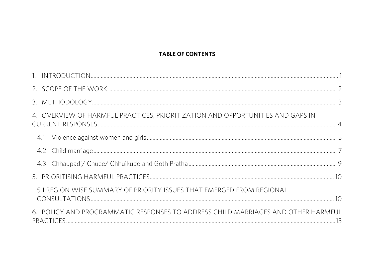#### **TABLE OF CONTENTS**

| 4. OVERVIEW OF HARMFUL PRACTICES, PRIORITIZATION AND OPPORTUNITIES AND GAPS IN    |  |
|-----------------------------------------------------------------------------------|--|
|                                                                                   |  |
|                                                                                   |  |
|                                                                                   |  |
|                                                                                   |  |
| 5.1 REGION WISE SUMMARY OF PRIORITY ISSUES THAT EMERGED FROM REGIONAL             |  |
| 6. POLICY AND PROGRAMMATIC RESPONSES TO ADDRESS CHILD MARRIAGES AND OTHER HARMFUL |  |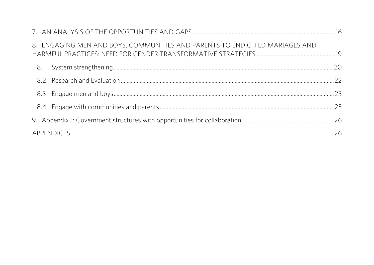| 8. ENGAGING MEN AND BOYS, COMMUNITIES AND PARENTS TO END CHILD MARIAGES AND |  |
|-----------------------------------------------------------------------------|--|
|                                                                             |  |
|                                                                             |  |
|                                                                             |  |
|                                                                             |  |
|                                                                             |  |
|                                                                             |  |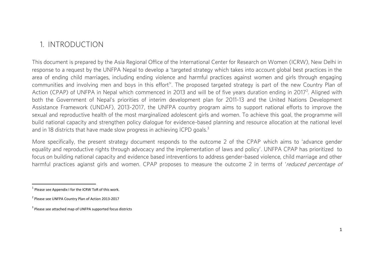#### <span id="page-4-0"></span>1. INTRODUCTION

This document is prepared by the Asia Regional Office of the International Center for Research on Women (ICRW), New Delhi in<br>response to a request by the UNFPA Nepal to develop a 'targeted strategy which takes into account area of ending child marriages, including ending violence and harmful practices against women and girls through engaging communities and involving men and boys in this effort<sup>1</sup>. The proposed targeted strategy is part of the new Country Plan of communities and involving men and boys in this enort. The proposed targeted strategy is part of the new Country Plan of<br>Action (CDAD) of UNEDA in Nonal which commenced in 2012 and will be of five vears duration ending in 2 Action (CPAP) of UNFPA in Nepal which commenced in 2013 and will be of five years duration ending in 2017. Aligned with<br>both the Covernment of Nepal's priorities of interim development plan for 2011-12 and the United Natio Assistance Framework (UNDAF), 2013-2017, the UNFPA country program aims to support national efforts to improve the sexual and reproductive health of the most marginalized adolescent girls and women. To achieve this goal, the programme will build national capacity and strengthen policy dialogue for evidence-based planning and resource allocation at the national level build national capacity and strengthen policy dialogue for evidence-based planning and resource and resource and resource and resource and resource and resource and resource and resource and resource and resource and resou and in 18 districts that have made slow progress in achieving ICPD goals.

More specifically, the present strategy document responds to the outcome 2 of the CPAP which aims to 'advance gender<br>equality and reproductive rights through advocacy and the implementation of laws and policy'. UNFPA CPAP focus on building national capacity and evidence based intreventions to address gender-based violence, child marriage and other harmful practices agianst girls and women. CPAP proposes to measure the outcome 2 in terms of 'reduced percentage of

 $\overline{\phantom{a}}$ 

 $<sup>1</sup>$  Please see Appendix I for the ICRW ToR of this work.</sup>

<sup>&</sup>lt;sup>2</sup> Please see UNFPA Country Plan of Action 2013-2017

<sup>&</sup>lt;sup>3</sup> Please see attached map of UNFPA supported focus districts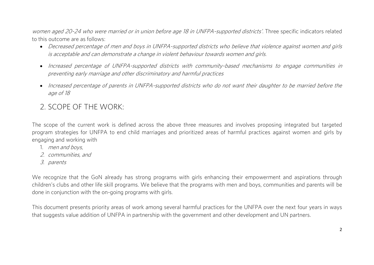women aged 20-24 who were married or in union before age 18 in UNFPA-supported districts'. Three specific indicators related<br>to this outcome are as follows:

- Decreased percentage of men and boys in UNFPA-supported districts who believe that violence against women and girls is acceptable and can demonstrate a change in violent behaviour towards women and girls.
	- Increased percentage of UNFPA-supported districts with community-based mechanisms to engage communities in preventing early marriage and other discriminatory and harmful practices
	- Increased percentage of parents in UNFPA-supported districts who do not want their daughter to be married before the age of 18

#### <span id="page-5-0"></span>2 SCOPE OF THE WORK

The scope of the current work is defined across the above three measures and involves proposing integrated but targeted<br>program strategies for UNFPA to end child marriages and prioritized areas of harmful practices against engaging and working with

- $\frac{1}{2}$  men and boys,
	- 2. communities, and
	- 3. parents

We recognize that the GoN already has strong programs with girls enhancing their empowerment and aspirations through<br>children's clubs and other life skill programs. We believe that the programs with men and boys, communiti done in conjunction with the on-going programs with girls. done in conjunction with the on-going programs with girls.

This document presents priority areas of work among several harmful practices for the UNFPA over the next four years in ways<br>that suggests value addition of UNFPA in partnership with the government and other development an that suggests value addition of UNFPA in partnership with the government and other development and UN partners.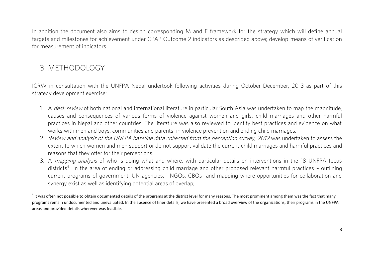In addition the document also aims to design corresponding M and E framework for the strategy which will define annual targets and milestones for achievement under CPAP Outcome 2 indicators as described above; develop means of verification for measurement of indicators

#### <span id="page-6-0"></span>3. METHODOLOGY 3. METHODOLOGY

ICRW in consultation with the UNFPA Nepal undertook following activities during October-December, 2013 as part of this strategy development exercise: strategy development exercise:

- 1. A *desk review* of both national and international literature in particular South Asia was undertaken to map the magnitude,<br>causes and consequences of various forms of violence against women and girls, child marriages a practices in Nepal and other countries. The literature was also reviewed to identify best practices and evidence on what works with men and boys, communities and parents in violence prevention and ending child marriages;
- 2. Review and analysis of the UNFPA baseline data collected from the perception survey, 2012 was undertaken to assess the extent to which women and men support or do not support validate the current child marriages and harmful practices and<br>reasons that they offer for their perceptions.
- 3. A *mapping analysis* of who is doing what and where, with particular details on interventions in the 18 UNFPA focus districted in the area of ordinal or addressing obild marries and other prepaged relevant bermful prac districts<sup>4</sup> in the area of ending or addressing child marriage and other proposed relevant harmful practices - outlining current programs of government, UN agencies, INGOs, CBOs and mapping where opportunities for collaboration and synergy exist as well as identifying potential areas of overlap; synergy exist as well as identifying potential areas of overlap;

 $\overline{a}$  $^4$  It was often not possible to obtain documented details of the programs at the district level for many reasons. The most prominent among them was the fact that many programs remain undocumented and unevaluated. In the absence of finer details, we have presented a broad overview of the organizations, their programs in the UNFPA areas and provided details wherever was feasible.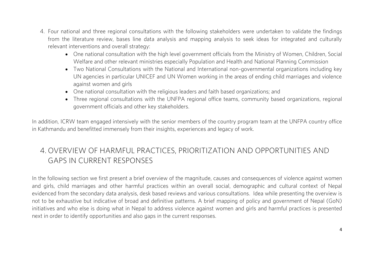- 4. Four national and three regional consultations with the following stakeholders were undertaken to validate the findings from the literature review, bases line data analysis and mapping analysis to seek ideas for integrated and culturally relevant interventions and overall strategy:
	- One national consultation with the high level government officials from the Ministry of Women, Children, Social<br>Welfare and other relevant ministries especially Penulation and Health and National Planning Commission
		- Two National Consultations with the National and International non-governmental organizations including key UN agencies in particular UNICEF and UN Women working in the areas of ending child marriages and violence
		- One national consultation with the religious leaders and faith based organizations; and<br>a Three regional consultations with the UNERA regional office teams community base
		- Three regional consultations with the UNFPA regional office teams, community based organizations, regional approximate filicials and other key stakeholders. government officials and other key stakeholders.

 $I$  addition, ICRW team engaged intensity with the senior members of the country program team at the UNFPA country of the UNFPA country of the UNFPA country of the UNFPA country of the UNFPA country of the UNFPA country o in Kathmandu and benefitted immensely from their insights, experiences and legacy of work.

# <span id="page-7-0"></span>4. OVERVIEW OF HARMFUL PRACTICES, PRIORITIZATION AND OPPORTUNITIES AND

In the following section we first present a brief overview of the magnitude, causes and consequences of violence against women<br>and girls, child marriages and other harmful practices within an overall social, demographic an evidenced from the secondary data analysis, desk based reviews and various consultations. Idea while presenting the overview is not to be exhaustive but indicative of broad and definitive patterns. A brief mapping of policy and government of Nepal (GoN) initiatives and who else is doing what in Nepal to address violence against women and girls and harmful practices is presented in the contract is don't what is done and also sans in the survent responses. next in order to identify opportunities and also gaps in the current responses.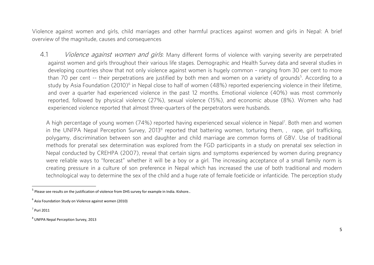Violence against women and girls, child marriages and other harmful practices against women and girls in Nepal: A brief overview of the magnitude, causes and consequences overview of the magnitude, causes and consequences

<span id="page-8-0"></span>4.1 *Violence against women and girls*: Many different forms of violence with varying severity are perpetrated<br>against women and girls throughout their various life stages. Demographic and Health Survey data and several st developing countries show that not only violence against women is hugely common - ranging from 30 per cent to more than 70 per cent -- their perpetrations are justified by both men and women on a variety of grounds<sup>5</sup>. According to a than 70 per cent -- their perpetrations are justified by both men and women on a variety of grounds". According to a<br>ctudy by Acia Foundation (2010)<sup>6</sup> in Nopel close to belf of women (49%) reported experiencing violence i study by Asia Foundation (2010)<sup>,</sup> in Nepal close to half of women (48%) reported experiencing violence in their lifetime,<br>and over a quarter had experienced violence in the past 12 menths. Emetienal violence (40%) was mes reported, followed by physical violence (27%), sexual violence (15%), and economic abuse (8%). Women who had experienced violence reported that almost three-quarters of the perpetrators were husbands. experienced violence reported that almost three-quarters of the perpetrators were husbands.

A high percentage or young women (74%) reported having experienced sexual violence in Nepal . Both men and women<br>in the UNEDA Nepal Perception Survey, 20128 reported that battering wemen, terturing them ... rape, girl traf in the UNFA Nepal Perception Survey, 2013 Teported that battering women, tortuning them, , rape, girl trafficking,<br>polygamy discrimination between son and daughter and child marriage are semmen ferms of CPV. Hee of traditi methods for prenatal sex determination was explored from the FGD participants in a study on prenatal sex selection in Nepal conducted by CREHPA (2007), reveal that certain signs and symptoms experienced by women during pregnancy were reliable ways to "forecast" whether it will be a boy or a girl. The increasing acceptance of a small family norm is creating pressure in a culture of son preference in Nepal which has increased the use of both traditional and modern creating pressure in a core in the son preference in Association of temple fecticide as infenticide. The perception study, technological way to determine the sex of the child and a huge rate of female foeticide or infanticide. The perception study

7 Puri 2011

 $^{\rm 5}$  Please see results on the justification of violence from DHS survey for example in India. Kishore..

 $^6$  Asia Foundation Study on Violence against women (2010)

<sup>&</sup>lt;sup>8</sup> UNFPA Nepal Perception Survey, 2013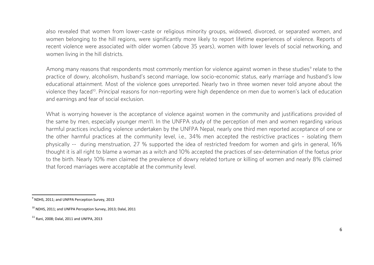also revealed that women from lower-caste or religious minority groups, widowed, divorced, or separated women, and women belonging to the hill regions, were significantly more likely to report lifetime experiences of violence. Reports of recent violence were associated with older women (above 35 years), women with lower levels of social networking, and women living in the hill districts. where  $\frac{1}{2}$  is the hill district state  $\frac{1}{2}$ 

Among many reasons that respondents most commonly mention for violence against women in these studies. Telate to the<br>Prestice of downy alcoholism, bushand's second marriage, low secie economic status, early marriage and bu educational attainment. Most of the violence goes unreported. Nearly two in three women never told anyone about the education they focad<sup>10</sup> Dringipal researce for non-reporting were bigh dependence an man due to weman's lack of education. violence they faced 1. Principal reasons for non-reporting were high dependence on men due to women's lack or education.<br>and earnings and fear of equiple volution and earnings and fear of social exclusion.

What is worrying however is the acceptance of violence against women in the community and justifications provided of the same by men, especially vounger men11. In the UNFPA study of the perception of men and women regardin harmful practices including violence undertaken by the UNFPA Nepal, nearly one third men reported acceptance of one or the other harmful practices at the community level, i.e., 34% men accepted the restrictive practices - isolating them physically -- during menstruation, 27 % supported the idea of restricted freedom for women and girls in general, 16% thought it is all right to blame a woman as a witch and 10% accepted the practices of sex-determination of the foetus prior to the birth. Nearly 10% men claimed the prevalence of dowry related torture or killing of women and nearly 8% claimed to the birth. Nearly 10% men claimed the prevalence of down related to the state of women and nearly 8% claimed that forced marriages were acceptable at the community level.

 $\overline{\phantom{a}}$ <sup>9</sup> NDHS, 2011; and UNFPA Perception Survey, 2013

 $10$  NDHS, 2011; and UNFPA Perception Survey, 2013; Dalal, 2011

 $11$  Rani. 2008; Dalal, 2011 and UNFPA, 2013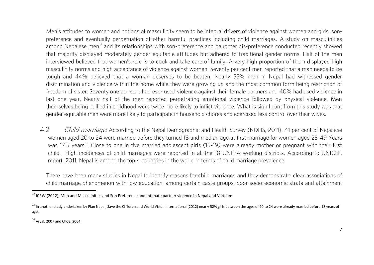Men's attitudes to women and notions of masculinity seem to be integral drivers of violence against women and girls, sonpreference and eventually perpetuation of other harmful practices including child marriages. A study on masculinities among Nepalese men<sup>12</sup> and its relationships with son-preference and daughter dis-preference conducted recently showed that majority displayed moderately gender equitable attitudes but adhered to traditional gender norms. Half of the men interviewed believed that women's role is to cook and take care of family. A very high proportion of them displayed high masculinity norms and high acceptance of violence against women. Seventy per cent men reported that a man needs to be tough and 44% believed that a woman deserves to be beaten. Nearly 55% men in Nepal had witnessed gender discrimination and violence within the home while they were growing up and the most common form being restriction of freedom of sister. Seventy one per cent had ever used violence against their female partners and 40% had used violence in last one year. Nearly half of the men reported perpetrating emotional violence followed by physical violence. Men themselves being bullied in childhood were twice more likely to inflict violence. What is significant from this study was that gender equitable men were more likely to participate in household chores and exercised less control over their wives. gender equitable men were more likely to participate in household chores and exercised less control over their wives.

<span id="page-10-0"></span>4.2 *Child marriage*: According to the Nepal Demographic and Health Survey (NDHS, 2011), 41 per cent of Nepalese<br>women aged 20 to 24 were married before they turned 18 and median age at first marriage for women aged 25-49 was 17.5 years<sup>13</sup>. Close to one in five married adolescent girls (15-19) were already mother or pregnant with their first child. High incidences of child marriages were reported in all the 18 UNFPA working districts. According to UNICEF, report, 2011, Nepal is among the top 4 countries in the world in terms of child marriage prevalence. report, 2011, Nepal is among the top 4 countries in the world in terms of child marriage prevalence.

There have been many studies in Nepal to identify reasons for child marriages and they demonstrate clear associations of<br>child marriage phenomenon with low education, among certain caste groups, poor socio-economic strata child marriage phenomenon with low education, among certain caste groups, poor socio-economic strata and attainment

<sup>14</sup> Aryal, 2007 and Choe, 2004

 $^{12}$  ICRW (2012); Men and Masculinities and Son Preference and intimate partner violence in Nepal and Vietnam

<sup>&</sup>lt;sup>13</sup> In another study undertaken by Plan Nepal, Save the Children and World Vision International (2012) nearly 52% girls between the ages of 20 to 24 were already married before 18 years of age.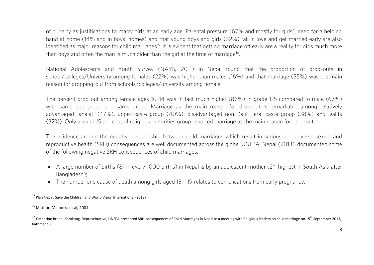of puberty as justifications to marry girls at an early age. Parental pressure (67% and mostly for girls), need for a helping hand at home (14% and in boys' homes) and that young boys and girls (32%) fall in love and get married early are also hand at home (14% and in boystom for child marriage <sup>15</sup> and girls of the marriage off early are a reality for girls much mare also that in love and get married early are also the married early are also the married early a identified as major reasons for child marriages. It is evident that getting marriage on early are a reality for girls much more<br>than boys and aften the man is much alder than the girl at the time of marriage<sup>16</sup> than boys and often the man is much older than the girl at the time of marriage<sup>16</sup>.

National Adolescents and Youth Survey (NAYS, 2011) in Nepal found that the proportion of drop-outs in<br>school/colleges/University among females (22%) was higher than males (16%) and that marriage (35%) was the main reason for dropping-out from schools/colleges/university among female. reason for dropping-out from schools/colleges/university among female.

The percent drop-out among female ages 10-14 was in fact much higher (86%) in grade 1-5 compared to male (67%) advantaged Janajati (47%), upper caste group (40%), disadvantaged non-Dalit Terai caste group (38%) and Dalits (32%). Only around 15 per cent of religious minorities group reported marriage as the main reason for drop-out. (32%). Only around 15 per cent of religious minorities group reported marriage as the main reason for drop-out.

The evidence around the negative relationship between child marriages which result in serious and adverse sexual and<br>reproductive health (SRH) consequences are well documented across the globe. UNFPA, Nepal (2013) document of the following negative SRH consequences of child marriages: of the following negative SRH consequences of child marriages;

- A large number of births (81 in every 1000 births) in Nepal is by an adolescent mother ( $2<sup>nd</sup>$  highest in South Asia after Bangladesh);
- The number one cause of death among girls aged  $15 19$  relates to complications from early pregnancy;

 $^{15}$  Plan Nepal, Save the Children and World Vision International (2012)

<sup>16</sup> Mathur, Malhotra et al, 2001

<sup>&</sup>lt;sup>17</sup> Catherine Breen- Kamkong, Representative; UNFPA presented SRH consequences of Child Marriages in Nepal in a meeting with Religious leaders on child marriage on 15<sup>th</sup> September 2013; Kathmandu.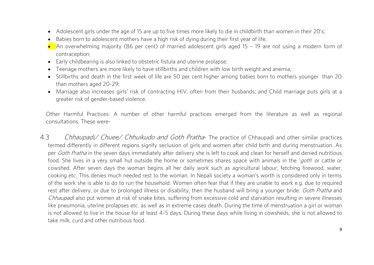- Adolescent girls under the age of 15 are up to five times more likely to die in childbirth than women in their 20's;
- Babies born to adolescent mothers have a high risk of dying during their first year of life;
- An overwhelming majority (86 per cent) of married adolescent girls aged 15 19 are not using a modern form of<br>contraception:
- Early childbearing is also linked to obstetric fistula and uterine prolapse;<br>
Fearsee mathers are mars likely to have stillbistic and obildren with love
- Teenage mothers are more likely to have stillbirths and children with low birth weight and anemia;
- Stillbirths and death in the first week of life are 50 per cent higher among babies born to mothers younger than 20 than mothers aged 20-29:
- Marriage also increases girls' risk of contracting HIV, often from their husbands; and Child marriage puts girls at a<br>creater risk of cender based violence greater risk of gender-based violence.

Other Harmful Practices: A number of other harmful practices emerged from the literature as well as regional consultations These were-

<span id="page-12-0"></span>4.3 *Chhaupadi/ Chuee/ Chhuikudo and Goth Pratha*- The practice of Chhaupadi and other similar practices termed differently in different regions signify seclusion of girls and women after child birth and during menstruatio per *Goth Pratha* in the seven days immediately after delivery she is left to cook and clean for herself and denied nutritious<br>food. She lives in a very small but outside the home or semetimes shares space with animals in food. She lives in a very small hut outside the home or sometimes shares space with animals in the 'goth' or cattle or<br>cowshed. After seven days the woman begins all her daily work such as agricultural labour, fetching fir cooking etc. This denies much needed rest to the woman. In Nepali society a woman's worth is considered only in terms of the work she is able to do to run the household. Women often fear that if they are unable to work e.g. due to required rest after delivery, or due to prolonged illness or disability, then the husband will bring a younger bride. Goth Pratha and<br>Chhaunadialse put women at rick of engles hites, suffering from executive sold and star using res Chhaupadi also put women at risk of snake bites, suffering from excessive cold and starvation resulting in severe illnesses<br>like pneumonia, uterine prolapses etc. as well as in extreme cases death. During the time of menst is not allowed to live in the house for at least 4-5 days. During these days while living in cowsheds, she is not allowed to take milk, curd and other nutritious food. take milk, curd and other nutritious food.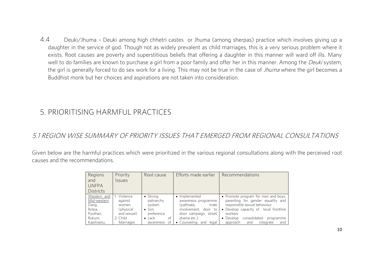$4.4$ 4 Deuki/Jhuma – Deuki among high chhetri castes or Jhuma (among sherpas) practice which involves giving up a<br>daughter in the service of god. Though not as widely prevalent as child marriages, this is a very serious problem exists. Root causes are poverty and superstitious beliefs that offering a daughter in this manner will ward off ills. Many well to do families are known to purchase a girl from a poor family and offer her in this manner. Among the *Deuki* system, the girl is generally forced to do sex work for a living. This may not be true in the case of *Jhuma* where the girl becomes a<br>Buddhist monk but her choices and aspirations are not taken into consideration. Buddhist monk but her choices and aspirations are not taken into consideration.

#### <span id="page-13-0"></span>5. PRIORITISING HARMFUL PRACTICES 5. PRIORITISING HARMFUL PRACTICES

#### <span id="page-13-1"></span>5.1 REGION WISE SUMMARY OF PRIORITY ISSUES THAT EMERGED FROM REGIONAL CONSULTATIONS

Given below are the harmful practices which were prioritized in the various regional consultations along with the perceived root causes and the recommendations causes and the recommendations.

| Regions<br>and<br><b>UNFPA</b><br><b>Districts</b>                                 | Priority<br><b>Issues</b>                                                                | Root cause                                                                                                 | Efforts made earlier                                                                                                                                    | Recommendations                                                                                                                                                                                                                               |
|------------------------------------------------------------------------------------|------------------------------------------------------------------------------------------|------------------------------------------------------------------------------------------------------------|---------------------------------------------------------------------------------------------------------------------------------------------------------|-----------------------------------------------------------------------------------------------------------------------------------------------------------------------------------------------------------------------------------------------|
| Western and<br>Mid-western<br>Dang,<br>Rolpa,<br>Pyuthan,<br>Rukum,<br>Kapilvastu, | Violence<br>against<br>women<br>(physical<br>and sexual)<br>2. Child<br><b>Marriages</b> | • Strong<br>patriarchy<br>system<br>$\bullet$ Son<br>preference<br>$\bullet$ Lack<br>of<br>awareness<br>0t | • Implemented<br>awareness programme<br>(pathsala,<br>male<br>involvement, door to<br>door campaign, street<br>drama etc.)<br>• Counseling<br>and legal | • Promote program for men and boys,<br>parenting for gender equality and<br>responsible sexual behaviour<br>• Develop capacity of local frontline<br>workers<br>consolidated<br>• Develop<br>programme<br>integrate<br>and<br>approach<br>and |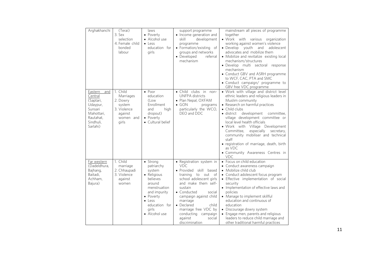| Arghakhanchi                                                                                                      | (Terai)<br>3. Sex<br>selection<br>4. Female child<br>bonded<br>labour                       | laws<br>• Poverty<br>• Alcohol use<br>$\bullet$ Less<br>education for<br>girls                                                                                                  | support programme<br>• Income generation and<br>skill<br>development<br>programme<br>• Formation/existing of<br>groups and networks<br>• Developed<br>referral<br>mechanism                                                                                                                                                       | mainstream all pieces of programme<br>together<br>· Work with various organization<br>working against women's violence<br>• Develop youth and<br>adolescent<br>advocates and mobilize them<br>• Mobilize and revitalize existing local<br>mechanism/structures<br>· Develop multi sectoral response<br>mechanism<br>• Conduct GBV and ASRH programme<br>to WCF, CAC, PTA and SMC<br>• Conduct campaign/ programme to<br>GBV free VDC programme                                                    |
|-------------------------------------------------------------------------------------------------------------------|---------------------------------------------------------------------------------------------|---------------------------------------------------------------------------------------------------------------------------------------------------------------------------------|-----------------------------------------------------------------------------------------------------------------------------------------------------------------------------------------------------------------------------------------------------------------------------------------------------------------------------------|---------------------------------------------------------------------------------------------------------------------------------------------------------------------------------------------------------------------------------------------------------------------------------------------------------------------------------------------------------------------------------------------------------------------------------------------------------------------------------------------------|
| Eastern<br>and<br>Central<br>(Saptari,<br>Udaypur,<br>Sunsari<br>Mahottari,<br>Rautahat,<br>Sindhuli.<br>Sarlahi) | 1. Child<br>Marriages<br>2. Dowry<br>system<br>3. Violence<br>against<br>women and<br>girls | $\bullet$ Poor<br>education<br>$(1)$ ow<br>Enrollment<br>and<br>high<br>dropout)<br>• Poverty<br>• Cultural belief                                                              | • Child clubs<br>in<br>non-<br><b>UNFPA</b> districts<br>• Plan Nepal, OXFAM<br>$\bullet$ GON<br>programs<br>particularly the WCO,<br>DFO and DDC                                                                                                                                                                                 | . Work with village and district level<br>ethnic leaders and religious leaders in<br>Muslim community<br>• Research on harmful practices<br>• Child clubs<br>development<br>• district<br>committee.<br>village development committee or<br>local level health officials<br>· Work with Village Development<br>especially secretary,<br>Committee,<br>community mobiliser and technical<br>staff<br>• registration of marriage, death, birth<br>as VDC<br>• Community Awareness Centres in<br>VDC |
| Far western<br>(Dadeldhura,<br>Bajhang,<br>Baitadi.<br>Achham,<br>Bajura)                                         | 1. Child<br>marriage<br>2. Chhaupadi<br>3. Violence<br>against<br>women                     | • Strong<br>patriarchy<br>system<br>• Religious<br>believes<br>around<br>menstruation<br>and impurity<br>• Poverty<br>$\bullet$ less<br>education for<br>girls<br>• Alcohol use | • Registration system in<br>VDC.<br>· Provided skill based<br>to out<br>training<br>- of<br>school adolescent girls<br>and make them self-<br>sustain<br>• Conducted<br>social<br>campaign against child<br>marriage<br>• Declared<br>child<br>marriage free VDC by<br>conducting campaign<br>against<br>social<br>discrimination | • Focus on child education<br>• Conduct awareness campaign<br>• Mobilize child club<br>• Conduct adolescent focus program<br>• Effective implementation of social<br>security<br>• Implementation of effective laws and<br>policies<br>• Manage to implement skillful<br>education and continuous of<br>education<br>• Discourage dowry system<br>• Engage men, parents and religious<br>leaders to reduce child marriage and<br>other traditional harmful practices                              |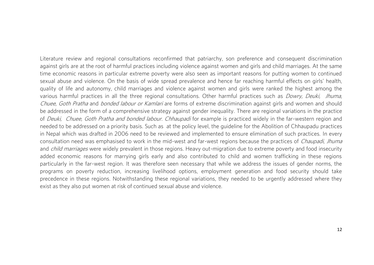Literature review and regional consultations reconfirmed that patriarchy, son preference and consequent discrimination<br>against girls are at the root of harmful practices including violence against women and girls and child time economic reasons in particular extreme poverty were also seen as important reasons for putting women to continued sexual abuse and violence. On the basis of wide spread prevalence and hence far reaching harmful effects on girls' health, auality of life and autonomy, child marriages and violence against women and girls were ranked the highest among the various harmful practices in all the three regional consultations. Other harmful practices such as *Dowry, Deuki, Jhuma,*<br>Chugo Goth Pratha and banded labour or Kamlariare forms of extreme discrimination against airls and Chuee, Goth Pratha and bonded labour or Kamlari are forms of extreme discrimination against girls and women and should<br>be addressed in the form of a comprehensive strategy against gender ineguality. There are regional vari of *Deuki, Chuee, Goth Pratha and bonded labour. Chhaupadi* for example is practiced widely in the far-western region and<br>needed to be addressed on a priority basis. Such as at the policy level, the quideline for the Aboli needed to be addressed on a priority basis. Such as at the policy level, the guideline for the Abolition of Chhaupadu practices consultation need was emphasised to work in the mid-west and far-west regions because the practices of *Chaupadi*, *Jhuma*<br>and *child marriages were widely provalent* in these regions. Heavy out migration due to extreme po and *child marriages* were widely prevalent in those regions. Heavy out-migration due to extreme poverty and food insecurity<br>added economic reasons for marrying girls early and also contributed to child and women trafficki particularly in the far-west region. It was therefore seen necessary that while we address the issues of gender norms, the programs on poverty reduction, increasing livelihood options, employment generation and food security should take precedence in these regions. Notwithstanding these regional variations, they needed to be urgently addressed where they exist as they also put women at risk of continued sexual abuse and violence. exist as they also put women at risk of continued sexual abuse and violence.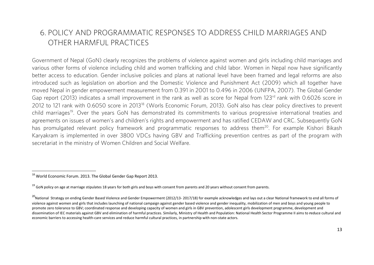#### <span id="page-16-0"></span>6. POLICY AND PROGRAMMATIC RESPONSES TO ADDRESS CHILD MARRIAGES AND OTHER HARMELIL PRACTICES OTHER HARMFUL PRACTICES

Government of Nepal (GoN) clearly recognizes the problems of violence against women and girls including child marriages and<br>various other forms of violence including child and women trafficking and child labor. Women in Ne better access to education. Gender inclusive policies and plans at national level have been framed and legal reforms are also introduced such as legislation on abortion and the Domestic Violence and Punishment Act (2009) which all together have moved Nepal in gender empowerment measurement from 0.391 in 2001 to 0.496 in 2006 (UNFPA, 2007). The Global Gender Gap report (2013) indicates a small improvement in the rank as well as score for Nepal from 123<sup>rd</sup> rank with 0.6026 score in 2012 to 121 rank with 0.6050 score in 2013<sup>18</sup> (Worls Economic Forum, 2013). GoN also has clear policy directives to prevent child marriages<sup>19</sup>. Over the years GoN has demonstrated its commitments to various progressive international treaties and child marriages. Over the years Gon has demonstrated its commitments to various progressive international treaties and<br>Accomments on issues of women's and obildren's rights and empowerment and has ratified CEDAM and CBC. S has promulgated relevant policy framework and programmatic responses to address them<sup>20</sup>. For example Kishori Bikash nas promuigated relevant policy framework and programmatic responses to address them ? For example Kishori Bikash<br>Kangkram is implemented in ever 2000 UDCs having CBV and Trafficking provention centres as part of the pregr secretariat in the ministry of Women Children and Social Welfare. secretariat in the ministry of Women Children and Social Welfare.

<sup>&</sup>lt;sup>18</sup> World Economic Forum. 2013. The Global Gender Gap Report 2013.

 $19$  GoN policy on age at marriage stipulates 18 years for both girls and boys with consent from parents and 20 years without consent from parents.

<sup>&</sup>lt;sup>20</sup>National Strategy on ending Gender Based Violence and Gender Empowerment (2012/13-2017/18) for example acknowledges and lays out a clear National framework to end all forms of violence against women and girls that includes launching of national campaign against gender based violence and gender inequality, mobilization of men and boys and young people to promote zero tolerance to GBV; coordinated response and developing capacity of women and girls in GBV prevention, adolescent girls development programme, development and dissemination of IEC materials against GBV and elimination of harmful practices. Similarly, Ministry of Health and Population: National Health Sector Programme II aims to **r**educe cultural and economic barriers to accessing health-care services and reduce harmful cultural practices, in partnership with non-state actors.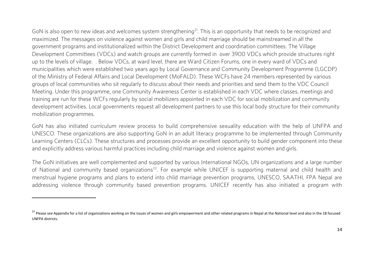Gon is also open to new ideas and welcomes system strengthening. This is an opportunity that needs to be recognized and<br>maximized. The messages on violence against wemen and girls and obild maxigage should be mainstreamed government programs and institutionalized within the District Development and coordination committees. The Village Development Committees (VDCs) and watch groups are currently formed in over 3900 VDCs which provide structures right up to the levels of village. . Below VDCs, at ward level, there are Ward Citizen Forums, one in every ward of VDCs and municipalities which were established two years ago by Local Governance and Community Development Programme (LGCDP) of the Ministry of Federal Affairs and Local Development (MoFALD). These WCFs have 24 members represented by various groups of local communities who sit regularly to discuss about their needs and priorities and send them to the VDC Council Meeting. Under this programme, one Community Awareness Center is established in each VDC where classes, meetings and training are run for these WCFs regularly by social mobilizers appointed in each VDC for social mobilization and community development activities. Local governments request all development partners to use this local body structure for their community mobilization programmes. mobilization programmes.

GoN has also initiated curriculum review process to build comprehensive sexuality education with the help of UNFPA and<br>UNESCO. These organizations are also supporting GoN in an adult literacy programme to be implemented th Learning Centers (CLCs). These structures and processes provide an excellent opportunity to build gender component into these and explicitly address various harmful practices including child marriage and violence against women and girls. and explicitly address various harmful practices including child marriage and violence against women and girls.

The GoN initiatives are well complemented and supported by various International NGOs, UN organizations and a large number<br>of National and community based organizations<sup>22</sup>. For example while UNICEF is supporting maternal menstrual hygiene programs and plans to extend into child marriage prevention programs, UNESCO, SAATHI, FPA Nepal are addressing violence through community based prevention programs. UNICEF recently has also initiated a program with addressing violence through community based prevention programs. United a programs with has also initiated a p<br>The central of the program with the program with the program with the program with the program with the program

 $\overline{\phantom{a}}$ 

<sup>&</sup>lt;sup>22</sup> Please see Appendix for a list of organizations working on the issues of women and girls empowerment and other related programs in Nepal at the National level and also in the 18 focused UNFPA districts.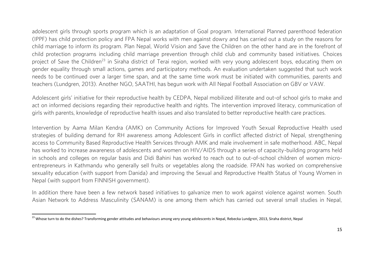adolescent girls through sports program which is an adaptation of Goal program. International Planned parenthood federation (IPPF) has child protection policy and FPA Nepal works with men against dowry and has carried out a study on the reasons for child marriage to inform its program. Plan Nepal, World Vision and Save the Children on the other hand are in the forefront of child protection programs including child marriage prevention through child club and community based initiatives. Choices project of Save the Children<sup>23</sup> in Siraha district of Terai region, worked with very voung adolescent boys, educating them on gender equality through small actions, games and participatory methods. An evaluation undertaken suggested that such work needs to be continued over a larger time span, and at the same time work must be initiated with communities, parents and teachers (Lundgren, 2013). Another NGO, SAATHI, has begun work with All Nepal Football Association on GBV or VAW. teachers (Lundgren, 2013). Another NGO, SAATHI, has begun work with All Nepal Football Association on GBV or VAW.

Adolescent girls' initiative for their reproductive health by CEDPA, Nepal mobilized illiterate and out-of school girls to make and<br>act on informed decisions regarding their reproductive health and rights. The intervention girls with parents, knowledge of reproductive health issues and also translated to better reproductive health care practices. girls with parents, knowledge of reproductive health issues and also translated to better reproductive health care practices.

Intervention by Aama Milan Kendra (AMK) on Community Actions for Improved Youth Sexual Reproductive Health used<br>Intervention of building demand for RH awareness among Adolescent Girls in conflict affected district of Nepal access to Community Based Reproductive Health Services through AMK and male involvement in safe motherhood. ABC, Nepal has worked to increase awareness of adolescents and women on HIV/AIDS through a series of capacity-building programs held in schools and colleges on regular basis and Didi Bahini has worked to reach out to out-of-school children of women microentrepreneurs in Kathmandu who generally sell fruits or vegetables along the roadside. FPAN has worked on comprehensive sexuality education (with support from Danida) and improving the Sexual and Reproductive Health Status of Young Women in Nepal (with support from FINNISH government). [Nepal \(with support from FINNISH government\).](http://www.fpan.org/doc/brocher_new.pdf)

In a few network to Address Massulinity (SANIAM) is and among them which has sarried out souscel small studies in Nonal Asian Network to Address Masculinity (SANAM) is one among them which has carried out several small small studies in  $\mathcal{A}$ 

<sup>&</sup>lt;sup>23</sup> Whose turn to do the dishes? Transforming gender attitudes and behaviours among very young adolescents in Nepal, Rebecka Lundgren, 2013, Siraha district, Nepal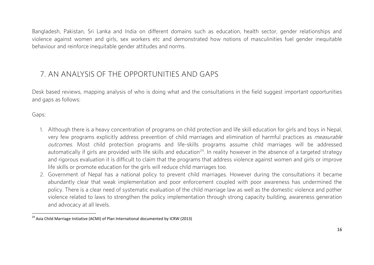Bangladesh, Pakistan, Sri Lanka and India on different domains such as education, health sector, gender relationships and violence against women and girls, sex workers etc and demonstrated how notions of masculinities fuel gender inequitable behaviour and reinforce inequitable gender attitudes and norms. behaviour and reinforce inequitable gender attitudes and norms.

#### <span id="page-19-0"></span>7. AN ANAIYSIS OF THE OPPORTUNITIES AND GAPS 7. AN ANALYSIS OF THE OPPORTUNITIES AND GAPS

Desk based reviews, mapping analysis of who is doing what and the consultations in the field suggest important opportunities  $\overline{a}$ 

Gaps:

- very few programs explicitly address prevention of child marriages and elimination of harmful practices as *measurable outcomes*. Most child protection programs and life-skills programs assume child marriages will be addressed<br>automatically if girls are provided with life skills and education<sup>24</sup>. In reality however in the absence of a ta automatically if girls are provided with life skills and education. This reality however in the absence of a targeted strategy<br>and rigorous ovaluation it is difficult to claim that the programs that address violence agains life skills or promote education for the girls will reduce child marriages too.
- 2. Government of Nepal has a national policy to prevent child marriages. However during the consultations it became abundantly clear that weak implementation and poor enforcement coupled with poor awareness has undermined the policy. There is a clear need of systematic evaluation of the child marriage law as well as the domestic violence and pother violence related to laws to strengthen the policy implementation through strong capacity building, awareness generation and advocacy at all levels. and advocating at all levels.

 $\overline{2}$  Asia Child Marriage Initiative (ACMI) of Plan International documented by ICRW (2013)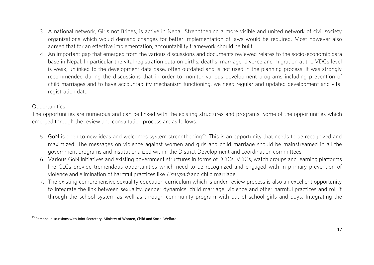- 3. A national network, Girls not Brides, is active in Nepal. Strengthening a more visible and united network of civil society organizations which would demand changes for better implementation of laws would be reguired. Most however also agreed that for an effective implementation, accountability framework should be built.
- 4. An important gap that emerged from the various discussions and documents reviewed relates to the socio-economic data base in Nepal. In particular the vital registration data on births, deaths, marriage, divorce and migration at the VDCs level is weak, unlinked to the development data base, often outdated and is not used in the planning process. It was strongly recommended during the discussions that in order to monitor various development programs including prevention of child marriages and to have accountability mechanism functioning, we need regular and updated development and vital child married married married mechanism functioning, we need regular and updated regular and updated development and vital<br>The contraction data registration data.

 $\overline{a}$ 

Opportunities:<br>The opportunities are numerous and can be linked with the existing structures and programs. Some of the opportunities which emeroed through the review and consultation process are as follows: emerged through the review and consultation process are as follows:

- 5. GoN is open to new ideas and welcomes system strengthening<sup>25</sup>. This is an opportunity that needs to be recognized and maximized. The messages on violence against women and girls and child marriage should be mainstreame aovernment programs and institutionalized within the District Development and coordination committees
- 6. Various GoN initiatives and existing government structures in forms of DDCs, VDCs, watch groups and learning platforms like CLCs provide tremendous opportunities which need to be recognized and engaged with in primary prevention of violence and elimination of harmful practices like *Chaupadi* and child marriage.<br>The ovisting comprehensive sovuality education surrigulum which is under review presence is also an excellent enpertunity.
- 7. The existing comprehensive sexuality education curriculum which is under review process is also an excellent opportunity through the school system as well as through community program with out of school girls and boys. Integrating the through the school system as well as through community program with out of school girls and boys. Integrating the

<sup>&</sup>lt;sup>25</sup> Personal discussions with Joint Secretary, Ministry of Women, Child and Social Welfare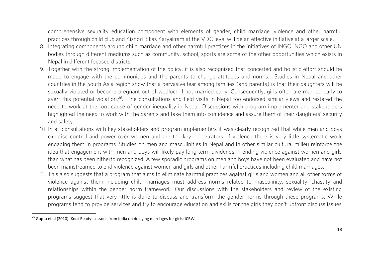comprehensive sexuality education component with elements of gender, child marriage, violence and other harmful practices through child club and Kishori Bikas Karvakram at the VDC level will be an effective initiative at a larger scale.

- 8. Integrating components around child marriage and other harmful practices in the initiatives of INGO, NGO and other UN bodies through different mediums such as community, school, sports are some of the other opportunities which exists in bodies through different focused districts.
- 9. Together with the strong implementation of the policy, it is also recognized that concerted and holistic effort should be made to engage with the communities and the parents to change attitudes and norms. Studies in Nepal and other countries in the South Asia region show that a pervasive fear among families (and parents) is that their daughters will be sexually violated or become pregnant out of wedlock if not married early. Consequently, girls often are married early to sexually violation.<sup>26</sup>. The consultations and field visits in Nepal too endorsed similar views and restated the need to werk at the rest sayse of condex inequality in Nepal. Discussions with pregnant production and stake need to work at the root cause of gender inequality in Nepal. Discussions with program implementer and stakeholders highlighted the need to work with the parents and take them into confidence and assure them of their daughters' security highlighted the need to work with the parents and take them into confidence and assure them of their daughters' security and safety.<br>10. In all consultations with key stakeholders and program implementers it was clearly recognized that while men and boys
- exercise control and power over women and are the key perpetrators of violence there is very little systematic work engaging them in programs. Studies on men and masculinities in Nepal and in other similar cultural milieu reinforce the idea that engagement with men and boys will likely pay long term dividends in ending violence against women and girls than what has been hitherto recognized. A few sporadic programs on men and boys have not been evaluated and have not been mainstreamed to end violence against women and girls and other harmful practices including child marriages.
- 11. This also suggests that a program that aims to eliminate harmful practices against girls and women and all other forms of violence against them including child marriages must address norms related to masculinity, sexuality, chastity and relationships within the gender norm framework. Our discussions with the stakeholders and review of the existing programs suggest that very little is done to discuss and transform the gender norms through these programs. While programs tend to provide services and try to encourage education and skills for the girls they don't upfront discuss issues programs tend to provide services and try to encourage education and skills for the girls they don't upfront discuss issues

<sup>&</sup>lt;sup>26</sup> Gupta et al (2010): Knot Ready: Lessons from India on delaying marriages for girls; ICRW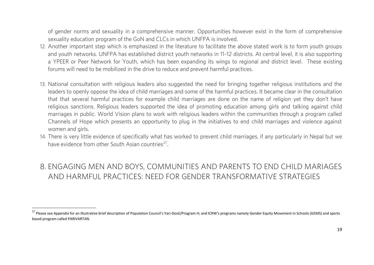of gender norms and sexuality in a comprehensive manner. Opportunities however exist in the form of comprehensive sexuality education program of the GoN and CLCs in which UNFPA is involved.

- 12. Another important step which is emphasized in the literature to facilitate the above stated work is to form youth groups and youth networks. UNFPA has established district youth networks in 11-12 districts. At central level, it is also supporting a YPEER or Peer Network for Youth, which has been expanding its wings to regional and district level. These existing forums will need to be mobilized in the drive to reduce and prevent harmful practices. forums will need to be mobilized in the drive to reduce and prevent harmful practices.
- 13. National consultation with religious leaders also suggested the need for bringing together religious institutions and the that that several harmful practices for example child marriages are done on the name of religion yet they don't have religious sanctions. Religious leaders supported the idea of promoting education among girls and talking against child marriages in public. World Vision plans to work with religious leaders within the communities through a program called Channels of Hope which presents an opportunity to plug in the initiatives to end child marriages and violence against Channels of Hope which presents an opportunity to plug in the initiatives to end child marriages and violence against
- 14. There is very little evidence of specifically what has worked to prevent child marriages, if any particularly in Nepal but we  $19.98$  ovidence from other South Acion countries? have evidence from other South Asian countries<sup>27</sup>

## <span id="page-22-0"></span>8. ENGAGING MEN AND BOYS, COMMUNITIES AND PARENTS TO END CHILD MARIAGES<br>AND HARMEUL PRACTICES: NEED FOR GENDER TRANSFORMATIVE STRATEGIES AND HARMFUL PRACTICES: NEED FOR GENDER TRANSFORMATIVE STRATEGIES

<sup>&</sup>lt;sup>27</sup> Please see Appendix for an illustrative brief description of Population Council's Yari-Dosti/Program H; and ICRW's programs namely Gender Equity Movement in Schools (GEMS) and sports based program called PARIVARTAN.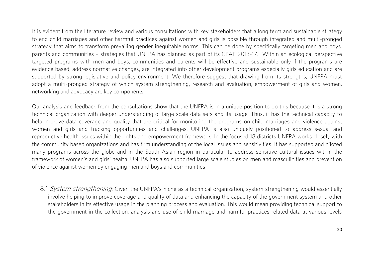It is evident from the literature review and various consultations with key stakeholders that a long term and sustainable strategy to end child marriages and other harmful practices against women and girls is possible through integrated and multi-pronged strategy that aims to transform prevailing gender inequitable norms. This can be done by specifically targeting men and boys, parents and communities - strategies that UNFPA has planned as part of its CPAP 2013-17. Within an ecological perspective targeted programs with men and boys, communities and parents will be effective and sustainable only if the programs are evidence based, address normative changes, are integrated into other development programs especially girls education and are supported by strong legislative and policy environment. We therefore suggest that drawing from its strengths. UNFPA must adopt a multi-pronged strategy of which system strengthening, research and evaluation, empowerment of girls and women, networking and advocacy are key components. networking and advocacy are key components.

Our analysis and feedback from the consultations show that the UNFPA is in a unique position to do this because it is a strong<br>technical organization with deeper understanding of large scale data sets and its usage. Thus, help improve data coverage and quality that are critical for monitoring the programs on child marriages and violence against women and girls and tracking opportunities and challenges. UNFPA is also uniquely positioned to address sexual and reproductive health issues within the rights and empowerment framework. In the focused 18 districts UNFPA works closely with the community based organizations and has firm understanding of the local issues and sensitivities. It has supported and piloted many programs across the globe and in the South Asian region in particular to address sensitive cultural issues within the framework of women's and girls' health. UNFPA has also supported large scale studies on men and masculinities and prevention framework of women's and girls' health. UNFPA has also supported large scale studies on men and masculinities and prevention of violence against women by engaging men and boys and communities.

<span id="page-23-0"></span>8.1 *System strengthening*: Given the UNFPA's niche as a technical organization, system strengthening would essentially involve helping to improve coverage and quality of data and enhancing the capacity of the government s stakeholders in its effective usage in the planning process and evaluation. This would mean providing technical support to the government in the collection, analysis and use of child marriage and harmful practices related data at various levels the government in the collection, analysis and use of child marriage and harmful practices related data at various levels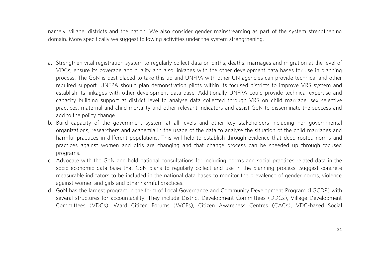namely, village, districts and the nation. We also consider gender mainstreaming as part of the system strengthening domain. More specifically we suggest following activities under the system strengthening. domain. More specifically we suggest following activities under the system strengthening.

- a. Strengthen vital registration system to regularly collect data on births, deaths, marriages and migration at the level of<br>VDCs, ensure its coverage and quality and also linkages with the other development data bases for process. The GoN is best placed to take this up and UNFPA with other UN agencies can provide technical and other required support. UNFPA should plan demonstration pilots within its focused districts to improve VRS system and establish its linkages with other development data base. Additionally UNFPA could provide technical expertise and capacity building support at district level to analyse data collected through VRS on child marriage, sex selective practices, maternal and child mortality and other relevant indicators and assist GoN to disseminate the success and add to the policy change.
- b. Build capacity of the government system at all levels and other key stakeholders including non-governmental organizations, researchers and academia in the usage of the data to analyse the situation of the child marriages and harmful practices in different populations. This will help to establish through evidence that deep rooted norms and practices against women and girls are changing and that change process can be speeded up through focused proctices and given and girls are changing and that changing and the speeded up through focused up through focus<br>Integrations
- programs.<br>c. Advocate with the GoN and hold national consultations for including norms and social practices related data in the socio-economic data base that GoN plans to regularly collect and use in the planning process. Suggest concrete measurable indicators to be included in the national data bases to monitor the prevalence of gender norms, violence against women and girls and other harmful practices.
- d. GoN has the largest program in the form of Local Governance and Community Development Program (LGCDP) with several structures for accountability. They include District Development Committees (DDCs), Village Development Committees (VDCs); Ward Citizen Forums (WCFs), Citizen Awareness Centres (CACs), VDC-based Social Committees (VDCs); Ward Citizen Forums (WCFs), Citizen Awareness Centres (CACs), VDC-based Social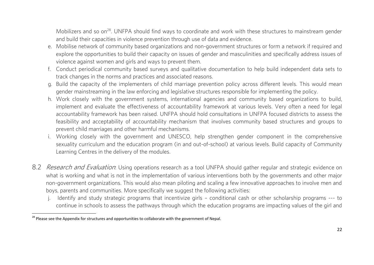Mobilizers and so on<sup>28</sup>. UNFPA should find ways to coordinate and work with these structures to mainstream gender<br>and build their capacities in violence prevention through use of data and evidence.

- e. Mobilise network of community based organizations and non-government structures or form a network if reguired and explore the opportunities to build their capacity on issues of gender and masculinities and specifically address issues of violence against women and girls and ways to prevent them.
- f. Conduct periodical community based surveys and qualitative documentation to help build independent data sets to track changes in the norms and practices and associated reasons.
- g. Build the capacity of the implementers of child marriage prevention policy across different levels. This would mean gender mainstreaming in the law enforcing and legislative structures responsible for implementing the policy.
- h. Work closely with the government systems, international agencies and community based organizations to build, implement and evaluate the effectiveness of accountability framework at various levels. Very often a need for legal accountability framework has been raised. UNFPA should hold consultations in UNFPA focused districts to assess the feasibility and acceptability of accountability mechanism that involves community based structures and groups to prevent child marriages and other harmful mechanisms.
- i. Working closely with the government and UNESCO, help strengthen gender component in the comprehensive sexuality curriculum and the education program (in and out-of-school) at various levels. Build capacity of Community Learning Centres in the delivery of the modules. Learning Centres in the delivery of the modules.
- <span id="page-25-0"></span>8.2 Research and Evaluation: Using operations research as a tool UNFPA should gather regular and strategic evidence on<br>what is working and what is not in the implementation of various interventions both by the governments non-government organizations. This would also mean piloting and scaling a few innovative approaches to involve men and boys, parents and communities. More specifically we suggest the following activities:
	- j. Identify and study strategic programs that incentivize girls conditional cash or other scholarship programs --- to continue in schools to assess the pathways through which the education programs are impacting values of the girl and continue in schools to assess the pathways through which the education programs are impacting values of the girl and

<sup>&</sup>lt;sup>28</sup> Please see the Appendix for structures and opportunities to collaborate with the government of Nepal.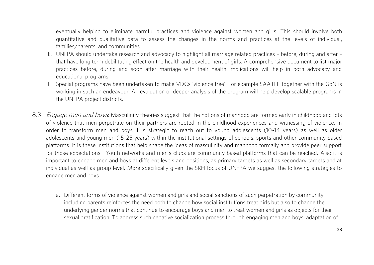eventually helping to eliminate harmful practices and violence against women and girls. This should involve both quantitative and qualitative data to assess the changes in the norms and practices at the levels of individual, families/parents, and communities.

- k. UNFPA should undertake research and advocacy to highlight all marriage related practices before, during and after that have long term debilitating effect on the health and development of girls. A comprehensive document to list major practices before, during and soon after marriage with their health implications will help in both advocacy and practices before, during and soon after marriage with their health implications will help in both advocacy and educational programs.<br>I. Special programs have been undertaken to make VDCs 'violence free'. For example SAATHI together with the GoN is
- working in such an endeavour. An evaluation or deeper analysis of the program will help develop scalable programs in the UNFPA project districts. the UNFPA project districts.
- <span id="page-26-0"></span>8.3 *Engage men and boys*: Masculinity theories suggest that the notions of manhood are formed early in childhood and lots of violence that men perpetrate on their partners are rooted in the childhood experiences and witne order to transform men and boys it is strategic to reach out to young adolescents (10-14 years) as well as older adolescents and young men (15-25 years) within the institutional settings of schools, sports and other community based platforms. It is these institutions that help shape the ideas of masculinity and manhood formally and provide peer support for those expectations. Youth networks and men's clubs are community based platforms that can be reached. Also it is important to engage men and boys at different levels and positions, as primary targets as well as secondary targets and at individual as well as group level. More specifically given the SRH focus of UNFPA we suggest the following strategies to individual as well as group level. More specifically given the SRH following strategies to the following strategies to the following strategies to the following strategies to the following strategies to the following strat engage men and boys.
	- a. Different forms of violence against women and girls and social sanctions of such perpetration by community<br>including parents reinforces the need both to change how social institutions treat girls but also to change the underlying gender norms that continue to encourage boys and men to treat women and girls as objects for their sexual gratification. To address such negative socialization process through engaging men and boys, adaptation of sexual gratification. To address such negative socialization process through engaging men and boys, adaptation of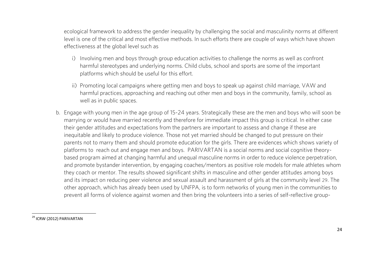ecological framework to address the gender inequality by challenging the social and masculinity norms at different level is one of the critical and most effective methods. In such efforts there are couple of ways which have shown effectiveness at the global level such as  $\mathcal{L}_{\mathcal{A}}$ 

- i) Involving men and boys through group education activities to challenge the norms as well as confront harmful stereotypes and underlying norms. Child clubs, school and sports are some of the important platforms which should be useful for this effort. platforms which should be useful for this effort.
- ii) Promoting local campaigns where getting men and boys to speak up against child marriage, VAW and<br>harmful practices, approaching and reaching out other men and boys in the community, family, school as well as in public spaces. well as in public spaces. The public spaces is a set of the space of the spaces of the spaces.
- b. Engage with young men in the age group of 15-24 years. Strategically these are the men and boys who will soon be their gender attitudes and expectations from the partners are important to assess and change if these are inequitable and likely to produce violence. Those not yet married should be changed to put pressure on their parents not to marry them and should promote education for the girls. There are evidences which shows variety of platforms to reach out and engage men and boys. PARIVARTAN is a social norms and social cognitive theorybased program aimed at changing harmful and unegual masculine norms in order to reduce violence perpetration, and promote bystander intervention, by engaging coaches/mentors as positive role models for male athletes whom they coach or mentor. The results showed significant shifts in masculine and other gender attitudes among boys and its impact on reducing peer violence and sexual assault and harassment of girls at the community level 29. The other approach, which has already been used by UNFPA, is to form networks of young men in the communities to prevent all forms of violence against women and then bring the volunteers into a series of self-reflective groupprevent all forms of violence against women and then bring the volunteers into a series of self-reflective group-

<sup>&</sup>lt;sup>29</sup> ICRW (2012) PARIVARTAN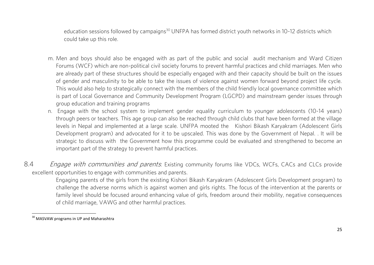could take up this role. education sessions followed by campaigns<sup>30</sup> UNFPA has formed district youth networks in 10-12 districts which could take up this role.

- m. Men and boys should also be engaged with as part of the public and social audit mechanism and Ward Citizen are already part of these structures should be especially engaged with and their capacity should be built on the issues of gender and masculinity to be able to take the issues of violence against women forward beyond project life cycle. This would also help to strategically connect with the members of the child friendly local governance committee which is part of Local Governance and Community Development Program (LGCPD) and mainstream gender issues through group education and training programs
- n. Engage with the school system to implement gender equality curriculum to younger adolescents (10-14 years) through peers or teachers. This age group can also be reached through child clubs that have been formed at the village through peers in Nepal and implemented at a large scale. UNFPA mooted the Kishori Bikash Karyakram (Adolescent Girls Development program) and advocated for it to be upscaled. This was done by the Government of Nepal. It will be strategic to discuss with the Government how this programme could be evaluated and strengthened to become an important part of the strategy to prevent harmful practices. important part of the strategy to prevent harmful practices.
- 8.4 Engage with communities and parents: Existing community forums like VDCs, WCFs, CACs and CLCs provide<br>excellent opportunities to engage with communities and parents.

<span id="page-28-0"></span>Engaging parents of the girls from the existing Kishori Bikash Karyakram (Adolescent Girls Development program) to challenge the adverse norms which is against women and girls rights. The focus of the intervention at the parents or family level should be focused around enhancing value of girls, freedom around their mobility, negative consequences of child marriage, VAWG and other harmful practices. of child marriage, VAWG and other harmful practices.

<sup>&</sup>lt;sup>30</sup> MASVAW programs in UP and Maharashtra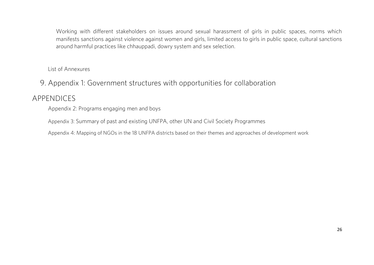Working with different stakeholders on issues around sexual harassment of girls in public spaces, norms which<br>manifests sanctions against violence against women and girls, limited access to girls in public space, cultural around harmful practices like chhauppadi, dowry system and sex selection. around harmful practices like chhauppadi, dowry system and sex selection.

List of Annexures List of Annexures

### <span id="page-29-0"></span>9. Appendix 1: Government structures with opportunities for collaboration

#### <span id="page-29-1"></span>APPENDICES

Appendix 2: Programs engaging men and boys Appendix 2: Programs engaging men and boys

 $\mathcal{A}$  such and existing UNFPA, order UNFPA, other UNFPA, order UNFPA, order UN and Civil Society Programmes

Appendix 4: Mapping of NGOs in the 18 UNFPA districts based on their themes and approaches of development work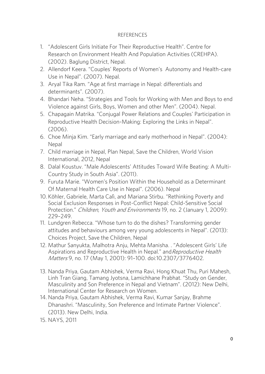#### **REFERENCES** REFERENCES

- 1. "Adolescent Girls Initiate For Their Reproductive Health". Centre for (2002). Baglung District. Nepal.
- 2. Allendorf Keera. "Couples' Reports of Women's Autonomy and Health-care Use in Nepal". (2007). Nepal.
- 3. Aryal Tika Ram. "Age at first marriage in Nepal: differentials and determinants". (2007).
- 4. Bhandari Neha. "Strategies and Tools for Working with Men and Boys to end Violence against Girls, Boys, Women and other Men". (2004). Nepal.
- S. Chapagain Matrika. "Conjugal Power Relations and Couples' Participation in Reproductive Health Decision-Making: Exploring the Links in Nepal".
- (2006).<br>6. Choe Minja Kim. "Early marriage and early motherhood in Nepal". (2004): 6. Choe Minja Kim. "Early marriage and early motherhood in Nepal". (2004):
- 7. Child marriage in Nepal, Plan Nepal, Save the Children, World Vision International, 2012, Nepal
- 8. Dalal Koustuv. "Male Adolescents' Attitudes Toward Wife Beating: A Multi-Country Study in South Asia". (2011).
- 9. Furuta Marie. "Women's Position Within the Household as a Determinant 0f Maternal Health Care Use in Nepal". (2006). Nepal
- 10. Köhler, Gabriele, Marta Calì, and Mariana Stirbu. "Rethinking Poverty and Social Exclusion Responses in Post-Conflict Nepal: Child-Sensitive Social Protection." Children, Youth and Environments 19, no. 2 (January 1, 2009):<br>229–249 229–249.<br>11. Lundgren Rebecca. "Whose turn to do the dishes? Transforming gender
- attitudes and behaviours among very young adolescents in Nepal". (2013): Choices Project, Save the Children, Nepal
- 12. Mathur Sanvukta, Malhotra Aniu, Mehta Manisha, , "Adolescent Girls' Life 12. Mathur Sanyukta, Malhotra Anju, Mehta Manisha. . "Adolescent Girls' Life Aspirations and Reproductive Health in Nepal." andReproductive Health Matters 9, no. 17 (May 1, 2001): 91–100. doi:10.2307/3776402.
- 13. Nanda Priya, Gautam Abhishek, Verma Ravi, Hong Khuat Thu, Puri Mahesh, Masculinity and Son Preference in Nepal and Vietnam". (2012): New Delhi, International Center for Research on Women.
- 14. Nanda Priya, Gautam Abhishek, Verma Ravi, Kumar Sanjay, Brahme Dhanashri. "Masculinity, Son Preference and Intimate Partner Violence". (2013). New Delhi, India.
- 15. NAYS, 2011 15. NAYS, 2011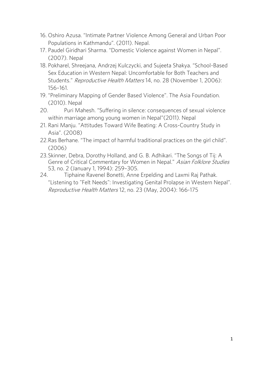- 16. Oshiro Azusa. "Intimate Partner Violence Among General and Urban Poor
- Populations in Kathmandu". (2011). Nepal. 17. Paudel Giridhari Sharma. "Domestic Violence against Women in Nepal".
- (2007). Nepal<br>18. Pokharel, Shreejana, Andrzej Kulczycki, and Sujeeta Shakya. "School-Based Sex Education in Western Nepal: Uncomfortable for Both Teachers and Students." *Reproductive Health Matters* 14, no. 28 (November 1, 2006):<br>156, 161
- 156–161.<br>19. "Preliminary Mapping of Gender Based Violence". The Asia Foundation. 19. "Preliminary Mapping of Gender Based Violence". The Asia Foundation.
- (2010). Nepal<br>20. Puri Mahesh. "Suffering in silence: consequences of sexual violence within marriage among young women in Nepal" (2011). Nepal
- 21. Rani Maniu, "Attitudes Toward Wife Beating: A Cross-Country Study in 21. Rani Manju. "Attitudes Toward Wife Beating: A Cross-Country Study in
- Asia". (2008)<br>22. Ras Berhane. "The impact of harmful traditional practices on the girl child". 22.Ras Berhane. "The impact of harmful traditional practices on the girl child".
- 23. Skinner, Debra, Dorothy Holland, and G. B. Adhikari. "The Songs of Tii: A Externally Debra, Debra, Debra, Particular, and G. B. B. Administration and Genre of Critical Commentary for Women in Nepal." Asian Folklore Studies
- 53, no. 2 (January 1, 1994): 259–305.<br>24. Tiphaine Ravenel Bonetti, Anne Erpelding and Laxmi Raj Pathak. "Listening to "Felt Needs": Investigating Genital Prolapse in Western Nepal". Extending to Terrificial Prolating Central Proper in Processing 1.<br>Reproductive Health Matters 12, no. 23 (May, 2004): 166-175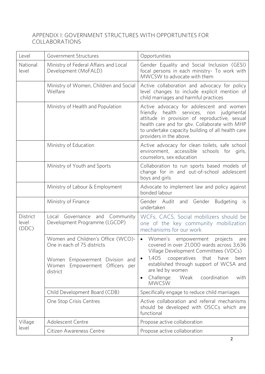#### APPENDIX I: GOVERNMENT STRUCTURES WITH OPPORTUNITES FOR COLLABORATIONS COLLABORATIONS

| Level                      | Government Structures                                                                                                                                   | Opportunities                                                                                                                                                                                                                                                                                                                           |  |  |
|----------------------------|---------------------------------------------------------------------------------------------------------------------------------------------------------|-----------------------------------------------------------------------------------------------------------------------------------------------------------------------------------------------------------------------------------------------------------------------------------------------------------------------------------------|--|--|
| National<br>level          | Ministry of Federal Affairs and Local<br>Development (MoFALD)                                                                                           | Gender Equality and Social Inclusion (GESI)<br>focal persons in each ministry- To work with<br>MWCSW to advocate with them                                                                                                                                                                                                              |  |  |
|                            | Ministry of Women, Children and Social<br>Welfare                                                                                                       | Active collaboration and advocacy for policy<br>level changes to include explicit mention of<br>child marriages and harmful practices                                                                                                                                                                                                   |  |  |
|                            | Ministry of Health and Population                                                                                                                       | Active advocacy for adolescent and women<br>friendly health services, non<br>judgmental<br>attitude in provision of reproductive, sexual<br>health care and for gbv. Collaborate with MHP<br>to undertake capacity building of all health care<br>providers in the above.                                                               |  |  |
|                            | Ministry of Education                                                                                                                                   | Active advocacy for clean toilets, safe school<br>environment, accessible schools for girls,<br>counselors, sex education                                                                                                                                                                                                               |  |  |
|                            | Ministry of Youth and Sports                                                                                                                            | Collaboration to run sports based models of<br>change for in and out-of-school adolescent<br>boys and girls                                                                                                                                                                                                                             |  |  |
|                            | Ministry of Labour & Employment                                                                                                                         | Advocate to implement law and policy against<br>bonded labour                                                                                                                                                                                                                                                                           |  |  |
|                            | Ministry of Finance                                                                                                                                     | Gender Audit<br>and Gender<br><b>Budgeting</b><br>is.<br>undertaken                                                                                                                                                                                                                                                                     |  |  |
| District<br>level<br>(DDC) | Governance and Community<br>Local<br>Development Programme (LGCDP)                                                                                      | WCFs, CACS, Social mobilizers should be<br>one of the key community mobilization<br>mechanisms for our work                                                                                                                                                                                                                             |  |  |
|                            | Women and Children's Office (WCO)-<br>One in each of 75 districts<br>Women Empowerment Division and<br>Empowerment Officers<br>Women<br>per<br>district | Women's<br>empowerment<br>projects<br>are<br>$\bullet$<br>covered in over 21,000 wards across 3,636<br>Village Development Committees (VDCs)<br>1,405<br>cooperatives<br>that<br>have<br>been<br>established through support of WCSA and<br>are led by women<br>Challenge:<br>Weak<br>coordination<br>with<br>$\bullet$<br><b>MWCSW</b> |  |  |
|                            | Child Development Board (CDB)                                                                                                                           | Specifically engage to reduce child marriages                                                                                                                                                                                                                                                                                           |  |  |
|                            | One Stop Crisis Centres                                                                                                                                 | Active collaboration and referral mechanisms<br>should be developed with OSCCs which are<br>functional                                                                                                                                                                                                                                  |  |  |
| Village                    | Adolescent Centre                                                                                                                                       | Propose active collaboration                                                                                                                                                                                                                                                                                                            |  |  |
| level                      | Citizen Awareness Centre                                                                                                                                | Propose active collaboration                                                                                                                                                                                                                                                                                                            |  |  |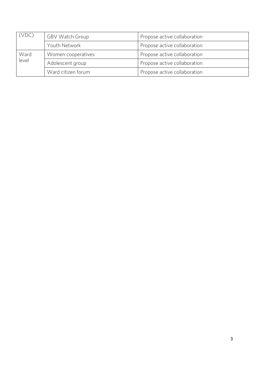| (VDC) | <b>GBV Watch Group</b> | Propose active collaboration |  |
|-------|------------------------|------------------------------|--|
|       | Youth Network          | Propose active collaboration |  |
| Ward  | Women cooperatives     | Propose active collaboration |  |
| level | Adolescent group       | Propose active collaboration |  |
|       | Ward citizen forum     | Propose active collaboration |  |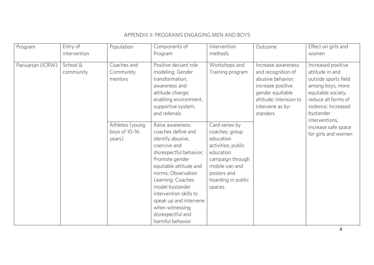| Program           | Entry of              | Population                                 | Components of                                                                                                                                                                                                                                                                                                                    | Intervention                                                                                                                                                          | Outcome                                                                                                                                                          | Effect on girls and                                                                                                                                                                  |
|-------------------|-----------------------|--------------------------------------------|----------------------------------------------------------------------------------------------------------------------------------------------------------------------------------------------------------------------------------------------------------------------------------------------------------------------------------|-----------------------------------------------------------------------------------------------------------------------------------------------------------------------|------------------------------------------------------------------------------------------------------------------------------------------------------------------|--------------------------------------------------------------------------------------------------------------------------------------------------------------------------------------|
|                   | intervention          |                                            | Program                                                                                                                                                                                                                                                                                                                          | methods                                                                                                                                                               |                                                                                                                                                                  | women                                                                                                                                                                                |
| Parivartan (ICRW) | School &<br>community | Coaches and<br>Community<br>mentors        | Positive deviant role<br>modeling; Gender<br>transformation,<br>awareness and<br>attitude change;<br>enabling environment,<br>supportive system,<br>and referrals                                                                                                                                                                | Workshops and<br>Training program                                                                                                                                     | Increase awareness<br>and recognition of<br>abusive behavior;<br>increase positive<br>gender equitable<br>attitude; intension to<br>intervene as by-<br>standers | Increased positive<br>attitude in and<br>outside sports field<br>among boys, more<br>equitable society,<br>reduce all forms of<br>violence; Increased<br>bystander<br>interventions, |
|                   |                       | Athletes (young<br>boys of 10-16<br>years) | Raise awareness:<br>coaches define and<br>identify abusive,<br>coercive and<br>disrespectful behavior;<br>Promote gender<br>equitable attitude and<br>norms; Observation<br>Learning: Coaches<br>model bystander<br>intervention skills to<br>speak up and intervene<br>when witnessing<br>disrespectful and<br>harmful behavior | Card series by<br>coaches; group<br>education<br>activities; public<br>education<br>campaign through<br>mobile van and<br>posters and<br>hoarding in public<br>spaces |                                                                                                                                                                  | increase safe space<br>for girls and women                                                                                                                                           |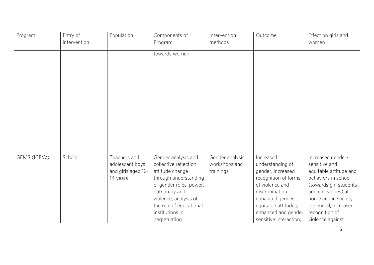| Program     | Entry of     | Population         | Components of           | Intervention    | Outcome                | Effect on girls and    |
|-------------|--------------|--------------------|-------------------------|-----------------|------------------------|------------------------|
|             | intervention |                    | Program                 | methods         |                        | women                  |
|             |              |                    | towards women           |                 |                        |                        |
|             |              |                    |                         |                 |                        |                        |
|             |              |                    |                         |                 |                        |                        |
|             |              |                    |                         |                 |                        |                        |
|             |              |                    |                         |                 |                        |                        |
|             |              |                    |                         |                 |                        |                        |
|             |              |                    |                         |                 |                        |                        |
|             |              |                    |                         |                 |                        |                        |
|             |              |                    |                         |                 |                        |                        |
|             |              |                    |                         |                 |                        |                        |
|             |              |                    |                         |                 |                        |                        |
|             |              |                    |                         |                 |                        |                        |
|             |              |                    |                         |                 |                        |                        |
| GEMS (ICRW) | School       | Teachers and       | Gender analysis and     | Gender analysis | Increased              | Increased gender-      |
|             |              | adolescent boys    | collective reflection:  | workshops and   | understanding of       | sensitive and          |
|             |              | and girls aged 12- | attitude change         | trainings       | gender, increased      | equitable attitude and |
|             |              | 14 years           | through understanding   |                 | recognition of forms   | behaviors in school    |
|             |              |                    | of gender roles, power, |                 | of violence and        | (towards girl students |
|             |              |                    | patriarchy and          |                 | discrimination;        | and colleagues), at    |
|             |              |                    | violence; analysis of   |                 | enhanced gender        | home and in society    |
|             |              |                    | the role of educational |                 | equitable attitudes;   | in general; increased  |
|             |              |                    | institutions in         |                 | enhanced and gender    | recognition of         |
|             |              |                    | perpetuating            |                 | sensitive interaction, | violence against       |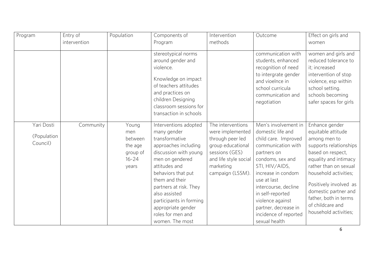| Program                               | Entry of     | Population                                                           | Components of                                                                                                                                                                                                                                                                                                           | Intervention                                                                                                                                               | Outcome                                                                                                                                                                                                                                                                                                             | Effect on girls and                                                                                                                                                                                                                                                                                    |
|---------------------------------------|--------------|----------------------------------------------------------------------|-------------------------------------------------------------------------------------------------------------------------------------------------------------------------------------------------------------------------------------------------------------------------------------------------------------------------|------------------------------------------------------------------------------------------------------------------------------------------------------------|---------------------------------------------------------------------------------------------------------------------------------------------------------------------------------------------------------------------------------------------------------------------------------------------------------------------|--------------------------------------------------------------------------------------------------------------------------------------------------------------------------------------------------------------------------------------------------------------------------------------------------------|
|                                       | intervention |                                                                      | Program                                                                                                                                                                                                                                                                                                                 | methods                                                                                                                                                    |                                                                                                                                                                                                                                                                                                                     | women                                                                                                                                                                                                                                                                                                  |
|                                       |              |                                                                      | stereotypical norms<br>around gender and<br>violence.<br>Knowledge on impact<br>of teachers attitudes<br>and practices on<br>children Designing<br>classroom sessions for<br>transaction in schools                                                                                                                     |                                                                                                                                                            | communication with<br>students, enhanced<br>recognition of need<br>to intergrate gender<br>and vioelnce in<br>school curricula<br>communication and<br>negotiation                                                                                                                                                  | women and girls and<br>reduced tolerance to<br>it; increased<br>intervention of stop<br>violence, esp within<br>school setting.<br>schools becoming<br>safer spaces for girls                                                                                                                          |
| Yari Dosti<br>(Population<br>Council) | Community    | Young<br>men<br>between<br>the age<br>group of<br>$16 - 24$<br>years | Interventions adopted<br>many gender<br>transformative<br>approaches including<br>discussion with young<br>men on gendered<br>attitudes and<br>behaviors that put<br>them and their<br>partners at risk. They<br>also assisted<br>participants in forming<br>appropriate gender<br>roles for men and<br>women. The most | The interventions<br>were implemented<br>through peer led<br>group educational<br>sessions (GES)<br>and life style social<br>marketing<br>campaign (LSSM). | Men's involvement in<br>domestic life and<br>child care. Improved<br>communication with<br>partners on<br>condoms, sex and<br>STI, HIV/AIDS,<br>increase in condom<br>use at last<br>intercourse, decline<br>in self-reported<br>violence against<br>partner, decrease in<br>incidence of reported<br>sexual health | Enhance gender<br>equitable attitude<br>among men to<br>supports relationships<br>based on respect,<br>equality and intimacy<br>rather than on sexual<br>household activities;<br>Positively involved as<br>domestic partner and<br>father, both in terms<br>of childcare and<br>household activities; |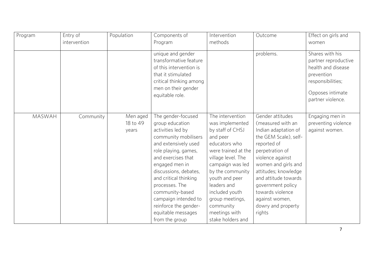| Program       | Entry of     | Population | Components of                                     | Intervention        | Outcome               | Effect on girls and                        |
|---------------|--------------|------------|---------------------------------------------------|---------------------|-----------------------|--------------------------------------------|
|               | intervention |            | Program                                           | methods             |                       | women                                      |
|               |              |            | unique and gender                                 |                     | problems.             | Shares with his                            |
|               |              |            | transformative feature<br>of this intervention is |                     |                       | partner reproductive<br>health and disease |
|               |              |            | that it stimulated                                |                     |                       | prevention                                 |
|               |              |            | critical thinking among                           |                     |                       | responsibilities;                          |
|               |              |            | men on their gender                               |                     |                       |                                            |
|               |              |            | equitable role.                                   |                     |                       | Opposes intimate                           |
|               |              |            |                                                   |                     |                       | partner violence.                          |
|               |              |            |                                                   |                     |                       |                                            |
| <b>MASWAH</b> | Community    | Men aged   | The gender-focused                                | The intervention    | Gender attitudes      | Engaging men in                            |
|               |              | 18 to 49   | group education                                   | was implemented     | (measured with an     | preventing violence                        |
|               |              | years      | activities led by                                 | by staff of CHSJ    | Indian adaptation of  | against women.                             |
|               |              |            | community mobilisers                              | and peer            | the GEM Scale), self- |                                            |
|               |              |            | and extensively used                              | educators who       | reported of           |                                            |
|               |              |            | role playing, games,                              | were trained at the | perpetration of       |                                            |
|               |              |            | and exercises that                                | village level. The  | violence against      |                                            |
|               |              |            | engaged men in                                    | campaign was led    | women and girls and   |                                            |
|               |              |            | discussions, debates,                             | by the community    | attitudes; knowledge  |                                            |
|               |              |            | and critical thinking                             | youth and peer      | and attitude towards  |                                            |
|               |              |            | processes. The                                    | leaders and         | government policy     |                                            |
|               |              |            | community-based                                   | included youth      | towards violence      |                                            |
|               |              |            | campaign intended to                              | group meetings,     | against women,        |                                            |
|               |              |            | reinforce the gender-                             | community           | dowry and property    |                                            |
|               |              |            | equitable messages                                | meetings with       | rights                |                                            |
|               |              |            | from the group                                    | stake holders and   |                       |                                            |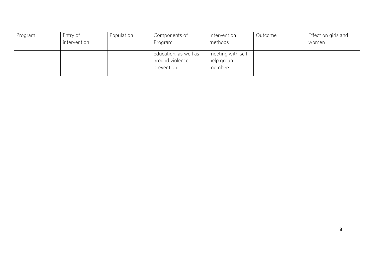| Program | Entry of     | Population | Components of         | Intervention       | Outcome | Effect on girls and |
|---------|--------------|------------|-----------------------|--------------------|---------|---------------------|
|         | intervention |            | Program               | methods            |         | women               |
|         |              |            |                       |                    |         |                     |
|         |              |            | education, as well as | meeting with self- |         |                     |
|         |              |            | around violence       | help group         |         |                     |
|         |              |            | prevention.           | members.           |         |                     |
|         |              |            |                       |                    |         |                     |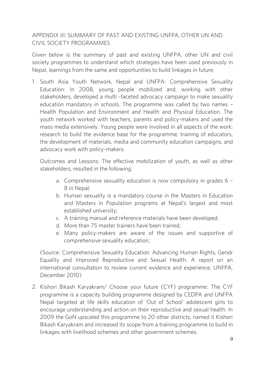### APPENDIX III: SUMMARY OF PAST AND EXISTING UNFPA, OTHER UN AND<br>CIVIL SOCIETY PROGRAMMES CIVIL SOCIETY PROGRAMMES

Given below is the summary of past and existing UNFPA, other UN and civil society programmes to understand which strategies have been used previously in  $s_{\text{max}}$  programmes to understand which strategies have been used previously in the vertex previously in the strategies  $s_{\text{max}}$ Nepal, learnings from the same and opportunities to build linkages in future.

1. South Asia Youth Network, Nepal and UNFPA: Comprehensive Sexuality<br>Education: In 2008, young people mobilized and, working with other stakeholders, developed a multi-faceted advocacy campaign to make sexuality education mandatory in schools. The programme was called by two names -Health Population and Environment and Health and Physical Education. The youth network worked with teachers, parents and policy-makers and used the mass media extensively. Young people were involved in all aspects of the work: research to build the evidence base for the programme, training of educators, the development of materials, media and community education campaigns, and advocacy work with policy-makers. advocacy work with policy-makers.

Outcomes and Lessons: The effective mobilization of youth, as well as other stakeholders, resulted in the following:

- a. Comprehensive sexuality education is now compulsory in grades  $6 8$  in Nepal;
- b. Human sexuality is a mandatory course in the Masters in Education and Masters in Population programs at Nepal's largest and most established university:
- c. A training manual and reference materials have been developed;
- d. More than 75 master trainers have been trained;
- e. Many policy-makers are aware of the issues and supportive of comprehensive sexuality education: comprehensive sexuality education;

(Source: Comprehensive Sexuality Education: Advancing Human Rights, Gendr international consultation to review current evidence and experience, UNFPA, December 2010) December 2010)

2. Kishori Bikash Karyakram/ Choose your future (CYF) programme: The CYF Nepal targeted at life skills education of 'Out of School' adolescent girls to encourage understanding and action on their reproductive and sexual health. In 2009 the GoN upscaled this programme to 20 other districts, named it Kishori Bikash Karyakram and increased its scope from a training programme to build in Bikash Karyakram and increased its scope from a training programme to build in linkages with livelihood schemes and other government schemes.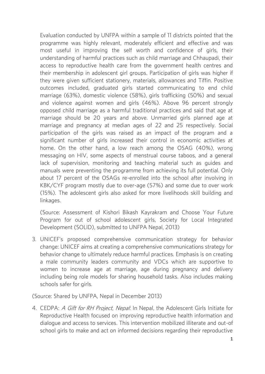Evaluation conducted by UNFPA within a sample of 11 districts pointed that the most useful in improving the self worth and confidence of girls, their understanding of harmful practices such as child marriage and Chhaupadi, their access to reproductive health care from the government health centres and their membership in adolescent girl groups. Participation of girls was higher if they were given sufficient stationery, materials, allowances and Tiffin. Positive outcomes included, graduated girls started communicating to end child marriage (63%), domestic violence (58%), girls trafficking (50%) and sexual and violence against women and girls (46%). Above 96 percent strongly opposed child marriage as a harmful traditional practices and said that age at marriage should be 20 years and above. Unmarried girls planned age at marriage and pregnancy at median ages of 22 and 25 respectively. Social participation of the girls was raised as an impact of the program and a significant number of girls increased their control in economic activities at home. On the other hand, a low reach among the OSAG (40%), wrong messaging on HIV, some aspects of menstrual course taboos, and a general lack of supervision, monitoring and teaching material such as guides and manuals were preventing the programme from achieving its full potential. Only about 17 percent of the OSAGs re-enrolled into the school after involving in KBK/CYF program mostly due to over-age  $(57%)$  and some due to over work  $K$ KBK/CHT program mostly due to over-age (57%) and some due to over-age (57%) and some due to  $K$ (15%). The adolescent girls also asked for more livelihoods skill building and linkages.

(Source: Assessment of Kishori Bikash Kayrakram and Choose Your Future<br>Program for out of school adolescent girls, Society for Local Integrated Development (SOLID), submitted to UNFPA Nepal, 2013) Development (SOLID), submitted to UNFPA Nepal, 2013)

3. UNICEF's proposed comprehensive communication strategy for behavior behavior change to ultimately reduce harmful practices. Emphasis is on creating a male community leaders community and VDCs which are supportive to women to increase age at marriage, age during pregnancy and delivery including being role models for sharing household tasks. Also includes making schools safer for girls. schools safer for girls.

(Source: Shared by UNFPA, Nepal in December 2013)

4. CEDPA: *A Gift for RH Project, Nepal*: In Nepal, the Adolescent Girls Initiate for<br>Reproductive Health focused on improving reproductive health information and dialogue and access to services. This intervention mobilized illiterate and out-of dialogue and access to service and access to the services. This is intervention of the service and out-office school girls to make and act on informed decisions regarding their reproductive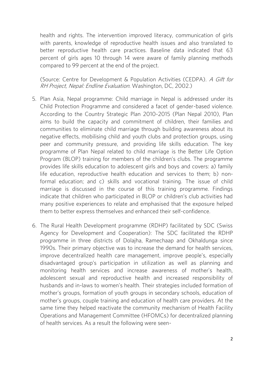health and rights. The intervention improved literacy, communication of girls better reproductive health care practices. Baseline data indicated that 63 percent of girls ages 10 through 14 were aware of family planning methods compared to 99 percent at the end of the project. compared to 99 percent at the end of the project.

(Source: Centre for Development & Population Activities (CEDPA). A Gift for RH Project, Nepal: Endline Evaluation. Washington, DC, 2002.)

- 5. Plan Asia, Nepal programme: Child marriage in Nepal is addressed under its According to the Country Strategic Plan 2010-2015 (Plan Nepal 2010), Plan aims to build the capacity and commitment of children, their families and communities to eliminate child marriage through building awareness about its negative effects, mobilising child and youth clubs and protection groups, using peer and community pressure, and providing life skills education. The key programme of Plan Nepal related to child marriage is the Better Life Option. Program (BLOP) training for members of the children's clubs. The programme provides life skills education to adolescent girls and boys and covers: a) family life education, reproductive health education and services to them; b) nonformal education; and c) skills and vocational training. The issue of child marriage is discussed in the course of this training programme. Findings indicate that children who participated in BLOP or children's club activities had many positive experiences to relate and emphasised that the exposure helped many positive experiences to relate and emphasised that the exposure helped. them to better express themselves and enhanced their self-confidence.
- 6. The Rural Health Development programme (RDHP) facilitated by SDC (Swiss programme in three districts of Dolaiha, Ramechaap and Okhaldunga since 1990s. Their primary objective was to increase the demand for health services, improve decentralized health care management, improve people's, especially disadvantaged group's participation in utilization as well as planning and monitoring health services and increase awareness of mother's health, adolescent sexual and reproductive health and increased responsibility of husbands and in-laws to women's health. Their strategies included formation of mother's groups, formation of youth groups in secondary schools, education of mother's groups, couple training and education of health care providers. At the same time they helped reactivate the community mechanism of Health Facility Operations and Management Committee (HFOMCs) for decentralized planning of health services. As a result the following were seenof health services. As a result the following were seen-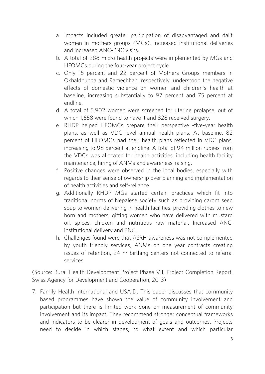- a. Impacts included greater participation of disadvantaged and dalit and increased ANC-PNC visits.
- b. A total of 288 micro health projects were implemented by MGs and HFOMCs during the four-year project cycle.
- c. Only 15 percent and 22 percent of Mothers Groups members in Okhaldhunga and Ramechhap, respectively, understood the negative effects of domestic violence on women and children's health at<br>beceling increasing substantially to 07 percent and 75 percent at baseline, increasing substantially to 97 percent and 75 percent at endline.<br>
d. A total of 5.902 women were screened for uterine prolapse, out of
- which 1,658 were found to have it and 828 received surgery.
- e. RHDP helped HFOMCs prepare their perspective -five-vear health plans, as well as VDC level annual health plans. At baseline, 82 percent of HFOMCs had their health plans reflected in VDC plans, increasing to 98 percent at endline. A total of 94 million rupees from the VDCs was allocated for health activities, including health facility maintenance, hiring of ANMs and awareness-raising.
- f. Positive changes were observed in the local bodies, especially with regards to their sense of ownership over planning and implementation of health activities and self-reliance.
- g. Additionally RHDP MGs started certain practices which fit into traditional norms of Nepalese society such as providing carom seed soup to women delivering in health facilities, providing clothes to new born and mothers, gifting women who have delivered with mustard oil, spices, chicken and nutritious raw material. Increased ANC, institutional delivery and PNC.
- h. Challenges found were that ASRH awareness was not complemented by youth friendly services, ANMs on one year contracts creating  $\frac{1}{2}$  youth friendly services,  $\frac{1}{2}$  is the services of connected to referred issues of retention, 24 hr birthing centers not connected to referral services

(Source: Rural Health Development Project Phase VII, Project Completion Report, Swiss Agency for Development and Cooperation, 2013)

7. Family Health International and USAID: This paper discusses that community participation but there is limited work done on measurement of community involvement and its impact. They recommend stronger conceptual frameworks and indicators to be clearer in development of goals and outcomes. Projects need to decide in which stages, to what extent and which particular need to decide in which stages, to what extent and which particular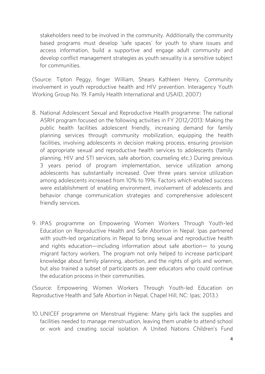stakeholders need to be involved in the community. Additionally the community based programs must develop 'safe spaces' for youth to share issues and access information, build a supportive and engage adult community and develop conflict management strategies as youth sexuality is a sensitive subject for communities. for communities.

(Source: Tipton Peggy, finger William, Shears Kathleen Henry. Community involvement in youth reproductive health and HIV prevention. Interagency Youth Working Group No. 19. Family Health International and USAID, 2007). Working Group No. 19. Family Health International and USAID, 2007)

- 8. National Adolescent Sexual and Reproductive Health programme: The national ASRH program focused on the following activities in FY 2012/2013: Making the public health facilities adolescent friendly, increasing demand for family planning services through community mobilization, equipping the health facilities, involving adolescents in decision making process, ensuring provision of appropriate sexual and reproductive health services to adolescents (family planning, HIV and STI services, safe abortion, counseling etc.) During previous 3 years period of program implementation, service utilization among adolescents has substantially increased. Over three years service utilization among adolescents increased from 10% to 19%. Factors which enabled success were establishment of enabling environment, involvement of adolescents and behavior change communication strategies and comprehensive adolescent friendly services. friendly services.
- 9. IPAS programme on Empowering Women Workers Through Youth-led with youth-led organizations in Nepal to bring sexual and reproductive health and rights education-including information about safe abortion- to young migrant factory workers. The program not only helped to increase participant knowledge about family planning, abortion, and the rights of girls and women, but also trained a subset of participants as peer educators who could continue the education process in their communities. the education process in their communities.

(Source: Empowering Women Workers Through Youth-led Education on<br>Reproductive Health and Safe Abortion in Nepal, Chapel Hill, NC: Ipas; 2013.) Reproductive Health and Safe Abortion in Nepal, Chapel Hill, NC: Ipas; 2013.)

10. UNICEF programme on Menstrual Hygiene: Many girls lack the supplies and facilities needs to manage mension, in the school of the unit of the school of the to attend school of the to a<br>Them unable to attend school of the management of the school of the school of the school of the school of the or work and creating social isolation. A United Nations Children's Fund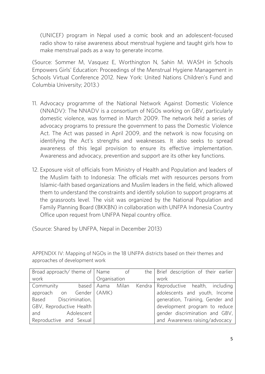(UNICEF) program in Nepal used a comic book and an adolescent-focused radio show to raise awareness about menstrual hygiene and taught girls how to make menstrual pads as a way to generate income.

(Source: Sommer M, Vasquez E, Worthington N, Sahin M. WASH in Schools Empowers Girls' Education: Proceedings of the Menstrual Hygiene Management in Schools Virtual Conference 2012. New York: United Nations Children's Fund and Columbia University; 2013.) Columbia University; 2013.)

- 11. Advocacy programme of the National Network Against Domestic Violence domestic violence, was formed in March 2009. The network held a series of advocacy programs to pressure the government to pass the Domestic Violence Act. The Act was passed in April 2009, and the network is now focusing on identifying the Act's strengths and weaknesses. It also seeks to spread Awareness and adversey, provention and support are its ether levy functions. Awareness and advocacy, prevention and support are its other key functions.
- 12. Exposure visit of officials from Ministry of Health and Population and leaders of the Muslim faith to Indonesia: The officials met with resources persons from Islamic-faith based organizations and Muslim leaders in the field, which allowed them to understand the constraints and identify solution to support programs at the grassroots level. The visit was organized by the National Population and Family Planning Board (BKKBN) in collaboration with UNFPA Indonesia Country Family Planning Board (BKKBN) in collaboration with UNFPA Indonesia Country Office upon request from UNFPA Nepal country office.

(Source: Shared by UNFPA, Nepal in December 2013)

APPENDIX IV: Mapping of NGOs in the 18 UNFPA districts based on their themes and approaches of development work approaches of development work

|              |                                                                                                             |                                                   | the   Brief description of their earlier |
|--------------|-------------------------------------------------------------------------------------------------------------|---------------------------------------------------|------------------------------------------|
| Organisation |                                                                                                             |                                                   | work                                     |
|              |                                                                                                             |                                                   | Kendra   Reproductive health, including  |
|              |                                                                                                             |                                                   | adolescents and youth, Income            |
|              |                                                                                                             |                                                   | generation, Training, Gender and         |
|              |                                                                                                             |                                                   | development program to reduce            |
|              |                                                                                                             |                                                   | gender discrimination and GBV,           |
|              |                                                                                                             |                                                   | and Awareness raising/advocacy           |
|              | based   Aama<br>approach on Gender (AMK)<br>Based Discrimination,<br>GBV, Reproductive Health<br>Adolescent | Broad approach/ theme of $\vert$ Name of<br>Milan |                                          |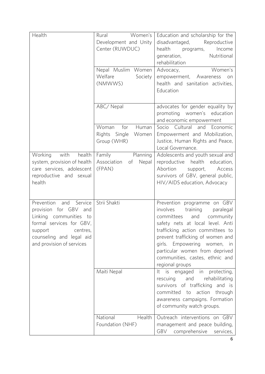| Health                                                                                                                                                                             | Women's<br>Rural<br>Development and Unity<br>Center (RUWDUC)   | Education and scholarship for the<br>disadvantaged,<br>Reproductive<br>health programs, Income<br>generation,<br>Nutritional<br>rehabilitation                                                                                                                                                                               |
|------------------------------------------------------------------------------------------------------------------------------------------------------------------------------------|----------------------------------------------------------------|------------------------------------------------------------------------------------------------------------------------------------------------------------------------------------------------------------------------------------------------------------------------------------------------------------------------------|
|                                                                                                                                                                                    | Nepal Muslim Women<br>Welfare<br>Society<br>(NMWWS)            | Women's<br>Advocacy,<br>empowerment, Awareness<br>on<br>health and sanitation activities,<br>Education                                                                                                                                                                                                                       |
|                                                                                                                                                                                    | ABC/Nepal                                                      | advocates for gender equality by<br>promoting women's education<br>and economic empowerment                                                                                                                                                                                                                                  |
|                                                                                                                                                                                    | for<br>Woman<br>Human<br>Rights Single<br>Women<br>Group (WHR) | Socio Cultural and Economic<br>Empowerment and Mobilization,<br>Justice, Human Rights and Peace,<br>Local Governance.                                                                                                                                                                                                        |
| Working with health<br>system, provision of health<br>care services, adolescent<br>reproductive and sexual<br>health                                                               | Family Planning<br>Association of<br>Nepal<br>(FPAN)           | Adolescents and youth sexual and<br>reproductive health education,<br>Abortion support, Access<br>survivors of GBV, general public,<br>HIV/AIDS education, Advocacy                                                                                                                                                          |
| Prevention and Service<br>provision for GBV and<br>Linking communities to<br>formal services for GBV,<br>support centres,<br>counseling and legal aid<br>and provision of services | Strii Shakti                                                   | Prevention programme on GBV<br>involves training paralegal<br>and community<br>committees<br>safety nets at local level. Anti<br>trafficking action committees to<br>prevent trafficking of women and<br>girls. Empowering women, in<br>particular women from deprived<br>communities, castes, ethnic and<br>regional groups |
|                                                                                                                                                                                    | Maiti Nepal                                                    | in protecting,<br>It is engaged<br>and<br>rehabilitating<br>rescuing<br>survivors of trafficking and is<br>committed to<br>action through<br>awareness campaigns. Formation<br>of community watch groups.                                                                                                                    |
|                                                                                                                                                                                    | National<br>Health<br>Foundation (NHF)                         | Outreach interventions on GBV<br>management and peace building,<br>GBV comprehensive<br>services,                                                                                                                                                                                                                            |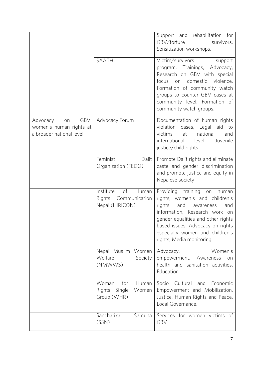|                                                                         |                                                                        | Support and rehabilitation for<br>GBV/torture<br>survivors,<br>Sensitization workshops.                                                                                                                                                                                            |
|-------------------------------------------------------------------------|------------------------------------------------------------------------|------------------------------------------------------------------------------------------------------------------------------------------------------------------------------------------------------------------------------------------------------------------------------------|
|                                                                         | <b>SAATHI</b>                                                          | Victim/survivors<br>support<br>program, Trainings, Advocacy,<br>Research on GBV with special<br>on domestic violence,<br>focus<br>Formation of community watch<br>groups to counter GBV cases at<br>community level. Formation of<br>community watch groups.                       |
| Advocacy on GBV,<br>women's human rights at<br>a broader national level | Advocacy Forum                                                         | Documentation of human rights<br>violation<br>cases, Legal<br>aid to<br>victims<br>at<br>national<br>and<br>international<br>level,<br>Juvenile<br>justice/child rights                                                                                                            |
|                                                                         | Feminist<br>Dalit<br>Organization (FEDO)                               | Promote Dalit rights and eliminate<br>caste and gender discrimination<br>and promote justice and equity in<br>Nepalese society                                                                                                                                                     |
|                                                                         | Institute<br>of<br>Human<br>Rights<br>Communication<br>Nepal (IHRICON) | Providing training<br>human<br>on<br>rights, women's and children's<br>rights<br>and<br>awareness<br>and<br>information, Research work on<br>gender equalities and other rights<br>based issues, Advocacy on rights<br>especially women and children's<br>rights, Media monitoring |
|                                                                         | Nepal Muslim Women<br>Welfare<br>Society<br>(NMWWS)                    | Women's<br>Advocacy,<br>empowerment,<br>Awareness<br>on<br>health and sanitation activities,<br>Education                                                                                                                                                                          |
|                                                                         | Woman<br>for<br>Human<br>Rights<br>Single<br>Women<br>Group (WHR)      | Socio<br>Cultural<br>and<br>Economic<br>Empowerment and Mobilization,<br>Justice, Human Rights and Peace,<br>Local Governance.                                                                                                                                                     |
|                                                                         | Sancharika<br>Samuha<br>(SSN)                                          | Services for women victims of<br>GBV                                                                                                                                                                                                                                               |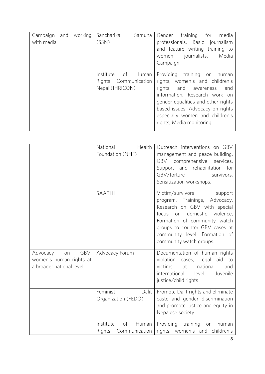| Campaign<br>with media | and working | Sancharika<br>(SSN)                                        | Samuha | Gender training<br>for<br>media<br>professionals, Basic journalism<br>and feature writing training to<br>journalists,<br>Media<br>women<br>Campaign                                                                                                                                |
|------------------------|-------------|------------------------------------------------------------|--------|------------------------------------------------------------------------------------------------------------------------------------------------------------------------------------------------------------------------------------------------------------------------------------|
|                        |             | Institute<br>of<br>Rights Communication<br>Nepal (IHRICON) | Human  | Providing<br>training<br>on<br>human<br>rights, women's and children's<br>rights<br>and awareness<br>and<br>information, Research work on<br>gender equalities and other rights<br>based issues, Advocacy on rights<br>especially women and children's<br>rights, Media monitoring |

|                                                                               | Health<br>National<br>Foundation (NHF)              | Outreach interventions on GBV<br>management and peace building,<br>GBV comprehensive<br>services,<br>Support and rehabilitation for<br>GBV/torture<br>survivors,<br>Sensitization workshops.                                                                    |
|-------------------------------------------------------------------------------|-----------------------------------------------------|-----------------------------------------------------------------------------------------------------------------------------------------------------------------------------------------------------------------------------------------------------------------|
|                                                                               | <b>SAATHI</b>                                       | Victim/survivors<br>support<br>program, Trainings, Advocacy,<br>Research on GBV with special<br>on domestic<br>violence,<br>focus<br>Formation of community watch<br>groups to counter GBV cases at<br>community level. Formation of<br>community watch groups. |
| GBV,<br>Advocacy<br>on<br>women's human rights at<br>a broader national level | Advocacy Forum                                      | Documentation of human rights<br>violation cases, Legal aid to<br>victims<br>at<br>national<br>and<br>international<br>level,<br>Juvenile<br>justice/child rights                                                                                               |
|                                                                               | Feminist<br>Dalit<br>Organization (FEDO)            | Promote Dalit rights and eliminate<br>caste and gender discrimination<br>and promote justice and equity in<br>Nepalese society                                                                                                                                  |
|                                                                               | of<br>Institute<br>Human<br>Rights<br>Communication | Providing training<br>on human<br>rights, women's and children's                                                                                                                                                                                                |